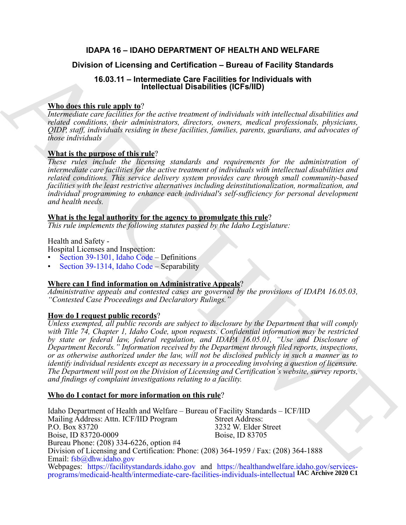# **IDAPA 16 – IDAHO DEPARTMENT OF HEALTH AND WELFARE**

# **Division of Licensing and Certification – Bureau of Facility Standards**

# **16.03.11 – Intermediate Care Facilities for Individuals with Intellectual Disabilities (ICFs/IID)**

# **Who does this rule apply to**?

*Intermediate care facilities for the active treatment of individuals with intellectual disabilities and related conditions, their administrators, directors, owners, medical professionals, physicians, QIDP, staff, individuals residing in these facilities, families, parents, guardians, and advocates of those individuals*

# **What is the purpose of this rule**?

*These rules include the licensing standards and requirements for the administration of intermediate care facilities for the active treatment of individuals with intellectual disabilities and related conditions. This service delivery system provides care through small community-based facilities with the least restrictive alternatives including deinstitutionalization, normalization, and individual programming to enhance each individual's self-sufficiency for personal development and health needs.*

# **What is the legal authority for the agency to promulgate this rule**?

*This rule implements the following statutes passed by the Idaho Legislature:*

# Health and Safety -

Hospital Licenses and Inspection:

- Section 39-1301, Idaho Code Definitions
- Section 39-1314, Idaho Code Separability

# **Where can I find information on Administrative Appeals**?

*Administrative appeals and contested cases are governed by the provisions of IDAPA 16.05.03, "Contested Case Proceedings and Declaratory Rulings."*

# **How do I request public records**?

**Division of Licensing and [C](https://legislature.idaho.gov/statutesrules/idstat/Title39/T39CH13/SECT39-1301/)ertification – Bureau of Facility Standards<br>
16.03.11 – Intimidental Corresponding CCFs in the control of the state of the state of the state of the state of the state of the state of the state** *Unless exempted, all public records are subject to disclosure by the Department that will comply with Title 74, Chapter 1, Idaho Code, upon requests. Confidential information may be restricted by state or federal law, federal regulation, and IDAPA 16.05.01, "Use and Disclosure of Department Records." Information received by the Department through filed reports, inspections, or as otherwise authorized under the law, will not be disclosed publicly in such a manner as to identify individual residents except as necessary in a proceeding involving a question of licensure. The Department will post on the Division of Licensing and Certification's website, survey reports, and findings of complaint investigations relating to a facility.*

# **Who do I contact for more information on this rule**?

Idaho Department of Health and Welfare – Bureau of Facility Standards – ICF/IID<br>Mailing Address: Attn. ICF/IID Program Street Address: Mailing Address: Attn. ICF/IID Program<br>P.O. Box 83720 3232 W. Elder Street<br>Boise, ID 83705 Boise, ID 83720-0009 Bureau Phone: (208) 334-6226, option #4 Division of Licensing and Certification: Phone: (208) 364-1959 / Fax: (208) 364-1888 Email: fsb@dhw.idaho.gov Webpages: [https](https://facilitystandards.idaho.gov)://facilitystandards.idaho.gov and [https://healthandwelfare.idaho.gov/services](https://healthandwelfare.idaho.gov/services-programs/medicaid-health/intermediate-care-facilities-individuals-intellectual)[programs/medicaid-health/intermediate-care-facilities-individuals-intellectual](https://healthandwelfare.idaho.gov/services-programs/medicaid-health/intermediate-care-facilities-individuals-intellectual) **IAC Archive 2020 C1**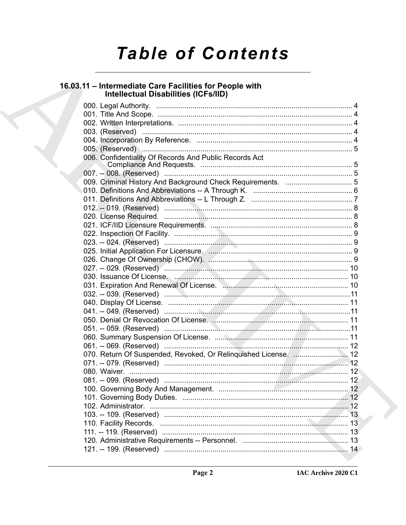# **Table of Contents**

# 16.03.11 – Intermediate Care Facilities for People with<br>Intellectual Disabilities (ICFs/IID)

| 006. Confidentiality Of Records And Public Records Act                   |  |
|--------------------------------------------------------------------------|--|
|                                                                          |  |
|                                                                          |  |
|                                                                          |  |
|                                                                          |  |
|                                                                          |  |
|                                                                          |  |
|                                                                          |  |
|                                                                          |  |
|                                                                          |  |
|                                                                          |  |
|                                                                          |  |
|                                                                          |  |
|                                                                          |  |
|                                                                          |  |
| 031. Expiration And Renewal Of License. Manuscritten Manuscritten and 10 |  |
|                                                                          |  |
|                                                                          |  |
|                                                                          |  |
|                                                                          |  |
|                                                                          |  |
|                                                                          |  |
|                                                                          |  |
| 070. Return Of Suspended, Revoked, Or Relinquished License.  12          |  |
|                                                                          |  |
|                                                                          |  |
|                                                                          |  |
|                                                                          |  |
| 101. Governing Body Duties                                               |  |
|                                                                          |  |
|                                                                          |  |
|                                                                          |  |
|                                                                          |  |
|                                                                          |  |
|                                                                          |  |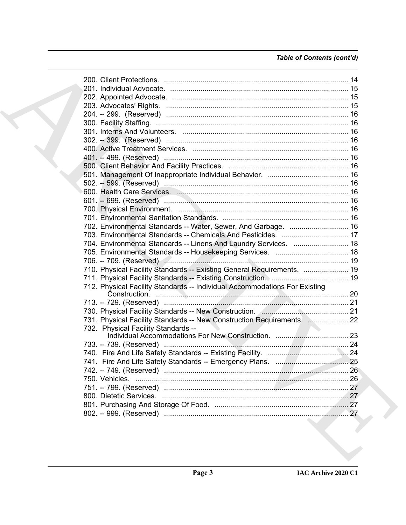# *Table of Contents (cont'd)*

| 302. -- 399. (Reserved) ………………………………………………………………………… 16                    |  |
|----------------------------------------------------------------------------|--|
|                                                                            |  |
|                                                                            |  |
|                                                                            |  |
|                                                                            |  |
|                                                                            |  |
|                                                                            |  |
|                                                                            |  |
|                                                                            |  |
|                                                                            |  |
| 702. Environmental Standards -- Water, Sewer, And Garbage.  16             |  |
| 703. Environmental Standards -- Chemicals And Pesticides.  17              |  |
| 704. Environmental Standards -- Linens And Laundry Services.  18           |  |
|                                                                            |  |
|                                                                            |  |
| 710. Physical Facility Standards -- Existing General Requirements.  19     |  |
|                                                                            |  |
| 712. Physical Facility Standards -- Individual Accommodations For Existing |  |
|                                                                            |  |
|                                                                            |  |
| 731. Physical Facility Standards -- New Construction Requirements.  22     |  |
| 732. Physical Facility Standards --                                        |  |
|                                                                            |  |
|                                                                            |  |
|                                                                            |  |
|                                                                            |  |
|                                                                            |  |
|                                                                            |  |
|                                                                            |  |
|                                                                            |  |
|                                                                            |  |
|                                                                            |  |
|                                                                            |  |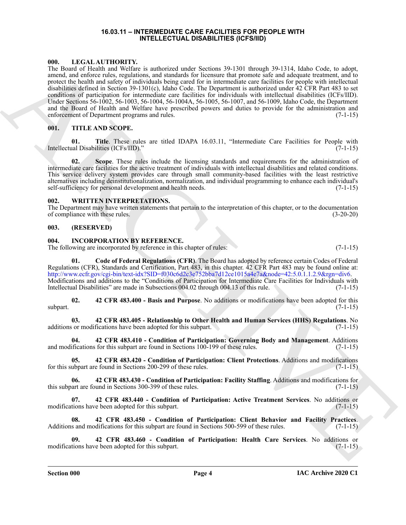#### **16.03.11 – INTERMEDIATE CARE FACILITIES FOR PEOPLE WITH INTELLECTUAL DISABILITIES (ICFS/IID)**

### <span id="page-3-6"></span><span id="page-3-1"></span><span id="page-3-0"></span>**000. LEGAL AUTHORITY.**

601. LETTRAILMONING and the context of the state with the form is that in the main form in the costs and context of the state of the state of the state of the state of the state of the state of the state of the state of t The Board of Health and Welfare is authorized under Sections 39-1301 through 39-1314, Idaho Code, to adopt, amend, and enforce rules, regulations, and standards for licensure that promote safe and adequate treatment, and to protect the health and safety of individuals being cared for in intermediate care facilities for people with intellectual disabilities defined in Section 39-1301(c), Idaho Code. The Department is authorized under 42 CFR Part 483 to set conditions of participation for intermediate care facilities for individuals with intellectual disabilities (ICFs/IID). Under Sections 56-1002, 56-1003, 56-1004, 56-1004A, 56-1005, 56-1007, and 56-1009, Idaho Code, the Department and the Board of Health and Welfare have prescribed powers and duties to provide for the administration and enforcement of Department programs and rules. (7-1-15)

### <span id="page-3-7"></span><span id="page-3-2"></span>**001. TITLE AND SCOPE.**

**01. Title**. These rules are titled IDAPA 16.03.11, "Intermediate Care Facilities for People with Intellectual Disabilities (ICFs/IID)." (7-1-15)

**02. Scope**. These rules include the licensing standards and requirements for the administration of intermediate care facilities for the active treatment of individuals with intellectual disabilities and related conditions. This service delivery system provides care through small community-based facilities with the least restrictive alternatives including deinstitutionalization, normalization, and individual programming to enhance each individual's self-sufficiency for personal development and health needs.

#### <span id="page-3-18"></span><span id="page-3-3"></span>**002. WRITTEN INTERPRETATIONS.**

The Department may have written statements that pertain to the interpretation of this chapter, or to the documentation of compliance with these rules. (3-20-20)

### <span id="page-3-4"></span>**003. (RESERVED)**

### <span id="page-3-8"></span><span id="page-3-5"></span>**004. INCORPORATION BY REFERENCE.**

The following are incorporated by reference in this chapter of rules: (7-1-15)

<span id="page-3-17"></span>**01. Code of Federal Regulations (CFR)**. The Board has adopted by reference certain Codes of Federal Regulations (CFR), Standards and Certification, Part 483, in this chapter. 42 CFR Part 483 may be found online at: http://www.ecfr.gov/cgi-bin/text-idx?SID=f030c6d2c3e752bba7d12ce1015a4e7a&node=42:5.0.1.1.2.9&rgn=div6. Modifications and additions to the "Conditions of Participation for Intermediate Care Facilities for Individuals with Intellectual Disabilities" are made in Subsections 004.02 through 004.13 of this rule. (7-1-15) Intellectual Disabilities" are made in Subsections 004.02 through 004.13 of this rule.

<span id="page-3-9"></span>**02. 42 CFR 483.400 - Basis and Purpose**. No additions or modifications have been adopted for this  $\text{subpart.}$  (7-1-15)

<span id="page-3-10"></span>**03. 42 CFR 483.405 - Relationship to Other Health and Human Services (HHS) Regulations**. No additions or modifications have been adopted for this subpart. (7-1-15)

<span id="page-3-11"></span>**04. 42 CFR 483.410 - Condition of Participation: Governing Body and Management**. Additions and modifications for this subpart are found in Sections 100-199 of these rules.

<span id="page-3-12"></span>**05. 42 CFR 483.420 - Condition of Participation: Client Protections**. Additions and modifications for this subpart are found in Sections 200-299 of these rules. (7-1-15)

<span id="page-3-13"></span>**06. 42 CFR 483.430 - Condition of Participation: Facility Staffing**. Additions and modifications for this subpart are found in Sections 300-399 of these rules. (7-1-15)

<span id="page-3-14"></span>**07. 42 CFR 483.440 - Condition of Participation: Active Treatment Services**. No additions or modifications have been adopted for this subpart.

<span id="page-3-15"></span>**08. 42 CFR 483.450 - Condition of Participation: Client Behavior and Facility Practices**. Additions and modifications for this subpart are found in Sections 500-599 of these rules. (7-1-15)

<span id="page-3-16"></span>**09. 42 CFR 483.460 - Condition of Participation: Health Care Services**. No additions or modifications have been adopted for this subpart.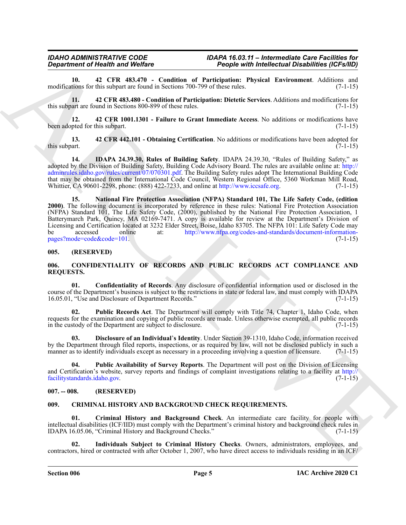<span id="page-4-9"></span>**10. 42 CFR 483.470 - Condition of Participation: Physical Environment**. Additions and modifications for this subpart are found in Sections 700-799 of these rules.

<span id="page-4-10"></span>**11. 42 CFR 483.480 - Condition of Participation: Dietetic Services**. Additions and modifications for this subpart are found in Sections 800-899 of these rules. (7-1-15)

<span id="page-4-7"></span>**12. 42 CFR 1001.1301 - Failure to Grant Immediate Access**. No additions or modifications have been adopted for this subpart. (7-1-15)

<span id="page-4-8"></span>**13. 42 CFR 442.101 - Obtaining Certification**. No additions or modifications have been adopted for this subpart.  $(7-1-15)$ 

<span id="page-4-12"></span><span id="page-4-11"></span>**14. IDAPA 24.39.30, Rules of Building Safety**. IDAPA 24.39.30, "Rules of Building Safety," as adopted by the Division of Building Safety, Building Code Advisory Board. The rules are available online at: http:// adminrules.idaho.gov/rules/current/07/070301.pdf. The Building Safety rules adopt The International Building Code that may be obtained from the International Code Council, Western Regional Office, 5360 Workman Mill Road, Whittier, CA 90601-2298, phone: (888) 422-7233, and online at http://www.iccsafe.org. (7-1-15) Whittier, CA 90601-2298, phone: (888) 422-7233, and online at http://www.iccsafe.org.

*Department of Nearly Works* (a) Proposition (a) Proposition (b) *medication* (a) Proposition (b)  $\frac{1}{2}$  medication (b)  $\frac{1}{2}$  medication (b)  $\frac{1}{2}$  medication (b)  $\frac{1}{2}$  medication (b)  $\frac{1}{2}$  medication **15. National Fire Protection Association (NFPA) Standard 101, The Life Safety Code, (edition 2000)**. The following document is incorporated by reference in these rules: National Fire Protection Association (NFPA) Standard 101, The Life Safety Code, (2000), published by the National Fire Protection Association, 1 Batterymarch Park, Quincy, MA 02169-7471. A copy is available for review at the Department's Division of Licensing and Certification located at 3232 Elder Street, Boise, Idaho 83705. The NFPA 101: Life Safety Code may be accessed online at: http://www.nfpa.org/codes-and-standards/document-informationpages?mode=code&code=101. (7-1-15) (3.3)

#### <span id="page-4-0"></span>**005. (RESERVED)**

#### <span id="page-4-1"></span>**006. CONFIDENTIALITY OF RECORDS AND PUBLIC RECORDS ACT COMPLIANCE AND REQUESTS.**

**01. Confidentiality of Records**. Any disclosure of confidential information used or disclosed in the course of the Department's business is subject to the restrictions in state or federal law, and must comply with IDAPA 16.05.01, "Use and Disclosure of Department Records." (7-1-15)

**02. Public Records Act**. The Department will comply with Title 74, Chapter 1, Idaho Code, when requests for the examination and copying of public records are made. Unless otherwise exempted, all public records in the custody of the Department are subject to disclosure. (7-1-15)

**03. Disclosure of an Individual**'**s Identity**. Under Section 39-1310, Idaho Code, information received by the Department through filed reports, inspections, or as required by law, will not be disclosed publicly in such a manner as to identify individuals except as necessary in a proceeding involving a question of licensure. (7-1-15)

**04. Public Availability of Survey Reports**. The Department will post on the Division of Licensing and Certification's website, survey reports and findings of complaint investigations relating to a facility at  $\frac{http://\naclittystandards.idaho.gov.}$  (7-1-15) facilitystandards.idaho.gov.

### <span id="page-4-2"></span>**007. -- 008. (RESERVED)**

### <span id="page-4-4"></span><span id="page-4-3"></span>**009. CRIMINAL HISTORY AND BACKGROUND CHECK REQUIREMENTS.**

<span id="page-4-5"></span>**Criminal History and Background Check**. An intermediate care facility for people with intellectual disabilities (ICF/IID) must comply with the Department's criminal history and background check rules in IDAPA 16.05.06, "Criminal History and Background Checks." (7-1-15)

<span id="page-4-6"></span>**02. Individuals Subject to Criminal History Checks**. Owners, administrators, employees, and contractors, hired or contracted with after October 1, 2007, who have direct access to individuals residing in an ICF/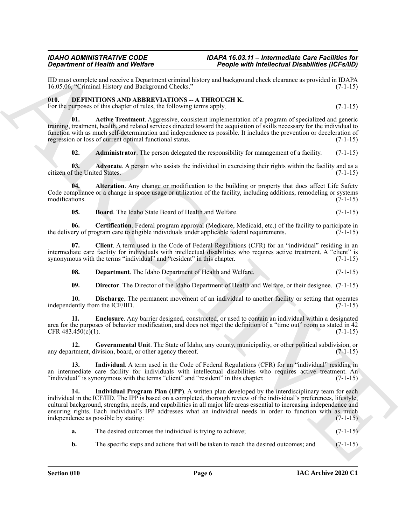IID must complete and receive a Department criminal history and background check clearance as provided in IDAPA 16.05.06, "Criminal History and Background Checks." (7-1-15) 16.05.06, "Criminal History and Background Checks."

#### <span id="page-5-1"></span><span id="page-5-0"></span>**010. DEFINITIONS AND ABBREVIATIONS -- A THROUGH K.** For the purposes of this chapter of rules, the following terms apply. (7-1-15)

**01. Active Treatment**. Aggressive, consistent implementation of a program of specialized and generic training, treatment, health, and related services directed toward the acquisition of skills necessary for the individual to function with as much self-determination and independence as possible. It includes the prevention or deceleration of

<span id="page-5-5"></span><span id="page-5-4"></span><span id="page-5-3"></span><span id="page-5-2"></span>**02.** Administrator. The person delegated the responsibility for management of a facility. (7-1-15)

**03.** Advocate. A person who assists the individual in exercising their rights within the facility and as a citizen of the United States. (7-1-15)

regression or loss of current optimal functional status. (7-1-15)

**04. Alteration**. Any change or modification to the building or property that does affect Life Safety Code compliance or a change in space usage or utilization of the facility, including additions, remodeling or systems modifications. (7-1-15)

<span id="page-5-8"></span><span id="page-5-7"></span><span id="page-5-6"></span>**05. Board**. The Idaho State Board of Health and Welfare. (7-1-15)

**06. Certification**. Federal program approval (Medicare, Medicaid, etc.) of the facility to participate in the delivery of program care to eligible individuals under applicable federal requirements. (7-1-15)

**07. Client**. A term used in the Code of Federal Regulations (CFR) for an "individual" residing in an intermediate care facility for individuals with intellectual disabilities who requires active treatment. A "client" is synonymous with the terms "individual" and "resident" in this chapter. (7-1-15)

<span id="page-5-9"></span>**08. Department**. The Idaho Department of Health and Welfare. (7-1-15)

<span id="page-5-12"></span><span id="page-5-11"></span><span id="page-5-10"></span>**09. Director**. The Director of the Idaho Department of Health and Welfare, or their designee. (7-1-15)

**10. Discharge**. The permanent movement of an individual to another facility or setting that operates lently from the ICF/IID. (7-1-15) independently from the  $ICF/IID$ .

**11. Enclosure**. Any barrier designed, constructed, or used to contain an individual within a designated area for the purposes of behavior modification, and does not meet the definition of a "time out" room as stated in 42  $CFR 483.450(c)(1).$  (7-1-15)

<span id="page-5-13"></span>**12. Governmental Unit**. The State of Idaho, any county, municipality, or other political subdivision, or any department, division, board, or other agency thereof. (7-1-15)

<span id="page-5-14"></span>**13. Individual**. A term used in the Code of Federal Regulations (CFR) for an "individual" residing in an intermediate care facility for individuals with intellectual disabilities who requires active treatment. An "individual" is synonymous with the terms "client" and "resident" in this chapter. (7-1-15) "individual" is synonymous with the terms "client" and "resident" in this chapter.

**Experimente of New York Control in the United Control in the United Control in the United Control in the United Control in the United Control in the United Control in the United Control in the United Control in the Unite Individual Program Plan (IPP)**. A written plan developed by the interdisciplinary team for each individual in the ICF/IID. The IPP is based on a completed, thorough review of the individual's preferences, lifestyle, cultural background, strengths, needs, and capabilities in all major life areas essential to increasing independence and ensuring rights. Each individual's IPP addresses what an individual needs in order to function with as much independence as possible by stating: (7-1-15)

<span id="page-5-15"></span>

|  | The desired outcomes the individual is trying to achieve; |  | $(7-1-15)$ |
|--|-----------------------------------------------------------|--|------------|
|--|-----------------------------------------------------------|--|------------|

**b.** The specific steps and actions that will be taken to reach the desired outcomes; and (7-1-15)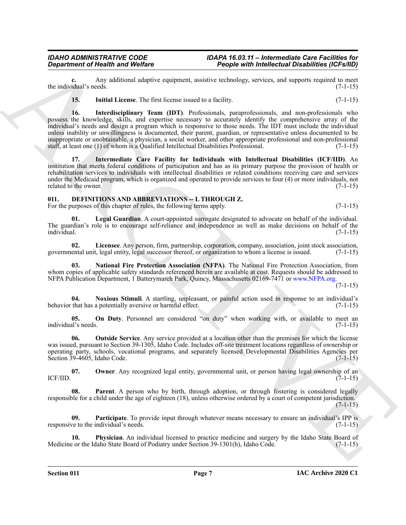**c.** Any additional adaptive equipment, assistive technology, services, and supports required to meet idual's needs. (7-1-15) the individual's needs.

<span id="page-6-2"></span><span id="page-6-1"></span>**15.** Initial License. The first license issued to a facility. (7-1-15)

Generation of Nearly is and Welfax<br>
Archives of Nearly Source (2008) and the Control of Nearly Source (2008) and the Control of Nearly Source (2014)<br>
Archives in the state of Nearly Source (2008) and the Control of Nearly **16. Interdisciplinary Team (IDT)**. Professionals, paraprofessionals, and non-professionals who possess the knowledge, skills, and expertise necessary to accurately identify the comprehensive array of the individual's needs and design a program which is responsive to those needs. The IDT must include the individual unless inability or unwillingness is documented, their parent, guardian, or representative unless documented to be inappropriate or unobtainable, a physician, a social worker, and other appropriate professional and non-professional staff, at least one (1) of whom is a Qualified Intellectual Disabilities Professional. (7-1-15)

<span id="page-6-3"></span>**17. Intermediate Care Facility for Individuals with Intellectual Disabilities (ICF/IID)**. An institution that meets federal conditions of participation and has as its primary purpose the provision of health or rehabilitation services to individuals with intellectual disabilities or related conditions receiving care and services under the Medicaid program, which is organized and operated to provide services to four (4) or more individuals, not related to the owner. (7-1-15) related to the owner.

# <span id="page-6-4"></span><span id="page-6-0"></span>**011. DEFINITIONS AND ABBREVIATIONS -- L THROUGH Z.**

For the purposes of this chapter of rules, the following terms apply. (7-1-15)

<span id="page-6-5"></span>**01. Legal Guardian**. A court-appointed surrogate designated to advocate on behalf of the individual. The guardian's role is to encourage self-reliance and independence as well as make decisions on behalf of the individual. (7-1-15)

<span id="page-6-6"></span>**02. Licensee**. Any person, firm, partnership, corporation, company, association, joint stock association, governmental unit, legal entity, legal successor thereof, or organization to whom a license is issued. (7-1-15)

<span id="page-6-7"></span>**03. National Fire Protection Association (NFPA)**. The National Fire Protection Association, from whom copies of applicable safety standards referenced herein are available at cost. Requests should be addressed to NFPA Publication Department, 1 Batterymarch Park, Quincy, Massachusetts 02169-7471 or www.NFPA.org.

 $(7-1-15)$ 

<span id="page-6-8"></span>**04. Noxious Stimuli**. A startling, unpleasant, or painful action used in response to an individual's behavior that has a potentially aversive or harmful effect.

<span id="page-6-9"></span>**05. On Duty**. Personnel are considered "on duty" when working with, or available to meet an individual's needs. (7-1-15)

<span id="page-6-10"></span>**06. Outside Service**. Any service provided at a location other than the premises for which the license was issued, pursuant to Section 39-1305, Idaho Code. Includes off-site treatment locations regardless of ownership or operating party, schools, vocational programs, and separately licensed Developmental Disabilities Agencies per Section 39-4605, Idaho Code. (7-1-15)

<span id="page-6-11"></span>**07. Owner**. Any recognized legal entity, governmental unit, or person having legal ownership of an (7-1-15) **ICF/IID.**  $(7-1-15)$ 

<span id="page-6-12"></span>**Parent**. A person who by birth, through adoption, or through fostering is considered legally responsible for a child under the age of eighteen (18), unless otherwise ordered by a court of competent jurisdiction. (7-1-15)

<span id="page-6-13"></span>**09. Participate**. To provide input through whatever means necessary to ensure an individual's IPP is responsive to the individual's needs.  $(7-1-15)$ 

<span id="page-6-14"></span>**10. Physician**. An individual licensed to practice medicine and surgery by the Idaho State Board of Medicine or the Idaho State Board of Podiatry under Section 39-1301(h), Idaho Code. (7-1-15)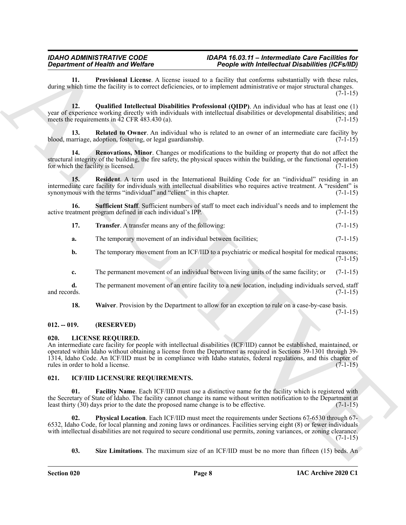<span id="page-7-3"></span>**11. Provisional License**. A license issued to a facility that conforms substantially with these rules, during which time the facility is to correct deficiencies, or to implement administrative or major structural changes.  $(7-1-15)$ 

<span id="page-7-4"></span>**12. Qualified Intellectual Disabilities Professional (QIDP)**. An individual who has at least one (1) year of experience working directly with individuals with intellectual disabilities or developmental disabilities; and meets the requirements in 42 CFR 483.430 (a). meets the requirements in  $\overline{42}$  CFR  $\overline{483.430}$  (a).

<span id="page-7-5"></span>**13. Related to Owner**. An individual who is related to an owner of an intermediate care facility by blood, marriage, adoption, fostering, or legal guardianship. (7-1-15)

<span id="page-7-6"></span>**14. Renovations, Minor**. Changes or modifications to the building or property that do not affect the structural integrity of the building, the fire safety, the physical spaces within the building, or the functional operation for which the facility is licensed.  $(7-1-15)$ 

<span id="page-7-7"></span>**15. Resident**. A term used in the International Building Code for an "individual" residing in an intermediate care facility for individuals with intellectual disabilities who requires active treatment. A "resident" is synonymous with the terms "individual" and "client" in this chapter. (7-1-15)

**16. Sufficient Staff**. Sufficient numbers of staff to meet each individual's needs and to implement the active treatment program defined in each individual's IPP. (7-1-15)

- <span id="page-7-9"></span><span id="page-7-8"></span>**17. Transfer**. A transfer means any of the following: (7-1-15)
- **a.** The temporary movement of an individual between facilities; (7-1-15)
- **b.** The temporary movement from an ICF/IID to a psychiatric or medical hospital for medical reasons; (7-1-15)
- **c.** The permanent movement of an individual between living units of the same facility; or (7-1-15)

**d.** The permanent movement of an entire facility to a new location, including individuals served, staff and records. (7-1-15)

<span id="page-7-10"></span>**18.** Waiver. Provision by the Department to allow for an exception to rule on a case-by-case basis.

 $(7-1-15)$ 

### <span id="page-7-0"></span>**012. -- 019. (RESERVED)**

### <span id="page-7-15"></span><span id="page-7-1"></span>**020. LICENSE REQUIRED.**

Gegardment of Realth is a Wellen Control of the Silver Control of the Bellen Control of the Silver Control of the Silver Control of the Silver Control of the Silver Control of the Silver Control of the Silver Control of t An intermediate care facility for people with intellectual disabilities (ICF/IID) cannot be established, maintained, or operated within Idaho without obtaining a license from the Department as required in Sections 39-1301 through 39- 1314, Idaho Code. An ICF/IID must be in compliance with Idaho statutes, federal regulations, and this chapter of rules in order to hold a license. (7-1-15) rules in order to hold a license.

#### <span id="page-7-11"></span><span id="page-7-2"></span>**021. ICF/IID LICENSURE REQUIREMENTS.**

<span id="page-7-12"></span>**Facility Name**. Each ICF/IID must use a distinctive name for the facility which is registered with the Secretary of State of Idaho. The facility cannot change its name without written notification to the Department at least thirty (30) days prior to the date the proposed name change is to be effective. (7-1-15) least thirty  $(30)$  days prior to the date the proposed name change is to be effective.

**02. Physical Location**. Each ICF/IID must meet the requirements under Sections 67-6530 through 67- 6532, Idaho Code, for local planning and zoning laws or ordinances. Facilities serving eight (8) or fewer individuals with intellectual disabilities are not required to secure conditional use permits, zoning variances, or zoning clearance. (7-1-15)

<span id="page-7-14"></span><span id="page-7-13"></span>**03.** Size Limitations. The maximum size of an ICF/IID must be no more than fifteen (15) beds. An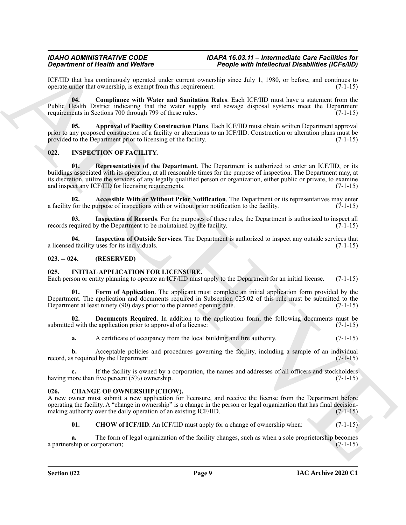ICF/IID that has continuously operated under current ownership since July 1, 1980, or before, and continues to operate under that ownership, is exempt from this requirement. (7-1-15) operate under that ownership, is exempt from this requirement.

<span id="page-8-7"></span>**04. Compliance with Water and Sanitation Rules**. Each ICF/IID must have a statement from the Public Health District indicating that the water supply and sewage disposal systems meet the Department requirements in Sections 700 through 799 of these rules. (7-1-15)

<span id="page-8-6"></span>**05. Approval of Facility Construction Plans**. Each ICF/IID must obtain written Department approval prior to any proposed construction of a facility or alterations to an ICF/IID. Construction or alteration plans must be provided to the Department prior to licensing of the facility. (7-1-15)

### <span id="page-8-15"></span><span id="page-8-11"></span><span id="page-8-0"></span>**022. INSPECTION OF FACILITY.**

**Signalized or Holen with Weiler and Construction (Constraint Constraint Constraint Constraint Constraint Constraint Constraint Constraint Constraint Constraint Constraint Constraint Constraint Constraint Constraint Const 01. Representatives of the Department**. The Department is authorized to enter an ICF/IID, or its buildings associated with its operation, at all reasonable times for the purpose of inspection. The Department may, at its discretion, utilize the services of any legally qualified person or organization, either public or private, to examine and inspect any ICF/IID for licensing requirements. (7-1-15) and inspect any ICF/IID for licensing requirements.

<span id="page-8-12"></span>**Accessible With or Without Prior Notification**. The Department or its representatives may enter urpose of inspections with or without prior notification to the facility. (7-1-15) a facility for the purpose of inspections with or without prior notification to the facility.

<span id="page-8-14"></span>**03.** Inspection of Records. For the purposes of these rules, the Department is authorized to inspect all equired by the Department to be maintained by the facility. (7-1-15) records required by the Department to be maintained by the facility.

<span id="page-8-13"></span>**04. Inspection of Outside Services**. The Department is authorized to inspect any outside services that a licensed facility uses for its individuals.

### <span id="page-8-1"></span>**023. -- 024. (RESERVED)**

### <span id="page-8-8"></span><span id="page-8-2"></span>**025. INITIAL APPLICATION FOR LICENSURE.**

Each person or entity planning to operate an ICF/IID must apply to the Department for an initial license. (7-1-15)

<span id="page-8-10"></span>Form of Application. The applicant must complete an initial application form provided by the Department. The application and documents required in Subsection 025.02 of this rule must be submitted to the Department at least ninety (90) days prior to the planned opening date. (7-1-15) Department at least ninety (90) days prior to the planned opening date.

**02. Documents Required**. In addition to the application form, the following documents must be submitted with the application prior to approval of a license: (7-1-15) (7-1-15)

<span id="page-8-9"></span>**a.** A certificate of occupancy from the local building and fire authority. (7-1-15)

**b.** Acceptable policies and procedures governing the facility, including a sample of an individual record, as required by the Department. (7-1-15)

**c.** If the facility is owned by a corporation, the names and addresses of all officers and stockholders nore than five percent (5%) ownership. (7-1-15) having more than five percent  $(5%)$  ownership.

#### <span id="page-8-4"></span><span id="page-8-3"></span>**026. CHANGE OF OWNERSHIP (CHOW).**

A new owner must submit a new application for licensure, and receive the license from the Department before operating the facility. A "change in ownership" is a change in the person or legal organization that has final decisionmaking authority over the daily operation of an existing ICF/IID. (7-1-15)

<span id="page-8-5"></span>**01.** CHOW of ICF/IID. An ICF/IID must apply for a change of ownership when: (7-1-15)

**a.** The form of legal organization of the facility changes, such as when a sole proprietorship becomes a partnership or corporation; (7-1-15)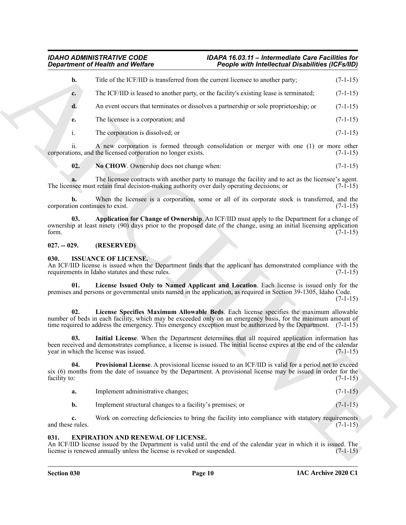|                                       | <b>Department of Health and Welfare</b>                                                                                                                                                                                                                                                                                   | People with Intellectual Disabilities (ICFs/IID) |            |
|---------------------------------------|---------------------------------------------------------------------------------------------------------------------------------------------------------------------------------------------------------------------------------------------------------------------------------------------------------------------------|--------------------------------------------------|------------|
| b.                                    | Title of the ICF/IID is transferred from the current licensee to another party;                                                                                                                                                                                                                                           |                                                  | $(7-1-15)$ |
| c.                                    | The ICF/IID is leased to another party, or the facility's existing lease is terminated;                                                                                                                                                                                                                                   |                                                  | $(7-1-15)$ |
| d.                                    | An event occurs that terminates or dissolves a partnership or sole proprietorship; or                                                                                                                                                                                                                                     |                                                  | $(7-1-15)$ |
| e.                                    | The licensee is a corporation; and                                                                                                                                                                                                                                                                                        |                                                  | $(7-1-15)$ |
| i.                                    | The corporation is dissolved; or                                                                                                                                                                                                                                                                                          |                                                  | $(7-1-15)$ |
| ii.                                   | A new corporation is formed through consolidation or merger with one (1) or more other<br>corporations, and the licensed corporation no longer exists.                                                                                                                                                                    |                                                  | $(7-1-15)$ |
| 02.                                   | No CHOW. Ownership does not change when:                                                                                                                                                                                                                                                                                  |                                                  | $(7-1-15)$ |
|                                       | The licensee contracts with another party to manage the facility and to act as the licensee's agent.<br>The licensee must retain final decision-making authority over daily operating decisions; or                                                                                                                       |                                                  | $(7-1-15)$ |
| b.<br>corporation continues to exist. | When the licensee is a corporation, some or all of its corporate stock is transferred, and the                                                                                                                                                                                                                            |                                                  | $(7-1-15)$ |
| 03.<br>form.                          | Application for Change of Ownership. An ICF/IID must apply to the Department for a change of<br>ownership at least ninety (90) days prior to the proposed date of the change, using an initial licensing application                                                                                                      |                                                  | $(7-1-15)$ |
| $027. - 029.$                         | (RESERVED)                                                                                                                                                                                                                                                                                                                |                                                  |            |
| 030.                                  | <b>ISSUANCE OF LICENSE.</b><br>An ICF/IID license is issued when the Department finds that the applicant has demonstrated compliance with the<br>requirements in Idaho statutes and these rules.                                                                                                                          |                                                  | $(7-1-15)$ |
| 01.                                   | License Issued Only to Named Applicant and Location. Each license is issued only for the<br>premises and persons or governmental units named in the application, as required in Section 39-1305, Idaho Code.                                                                                                              |                                                  | $(7-1-15)$ |
| 02.                                   | License Specifies Maximum Allowable Beds. Each license specifies the maximum allowable<br>number of beds in each facility, which may be exceeded only on an emergency basis, for the minimum amount of<br>time required to address the emergency. This emergency exception must be authorized by the Department. (7-1-15) |                                                  |            |
| 03.                                   | Initial License. When the Department determines that all required application information has<br>been received and demonstrates compliance, a license is issued. The initial license expires at the end of the calendar<br>year in which the license was issued.                                                          |                                                  | $(7-1-15)$ |
| 04.<br>facility to:                   | <b>Provisional License.</b> A provisional license issued to an ICF/IID is valid for a period not to exceed<br>six (6) months from the date of issuance by the Department. A provisional license may be issued in order for the                                                                                            |                                                  | $(7-1-15)$ |
| a.                                    | Implement administrative changes;                                                                                                                                                                                                                                                                                         |                                                  | $(7-1-15)$ |
| b.                                    | Implement structural changes to a facility's premises; or                                                                                                                                                                                                                                                                 |                                                  | $(7-1-15)$ |
| c.                                    | Work on correcting deficiencies to bring the facility into compliance with statutory requirements                                                                                                                                                                                                                         |                                                  | $(7-1-15)$ |
| and these rules.                      |                                                                                                                                                                                                                                                                                                                           |                                                  |            |

### <span id="page-9-4"></span><span id="page-9-3"></span><span id="page-9-0"></span>**027. -- 029. (RESERVED)**

#### <span id="page-9-9"></span><span id="page-9-8"></span><span id="page-9-6"></span><span id="page-9-1"></span>**030. ISSUANCE OF LICENSE.**

- <span id="page-9-10"></span><span id="page-9-7"></span>**a.** Implement administrative changes; (7-1-15)
- **b.** Implement structural changes to a facility's premises; or (7-1-15)

### <span id="page-9-5"></span><span id="page-9-2"></span>**031. EXPIRATION AND RENEWAL OF LICENSE.**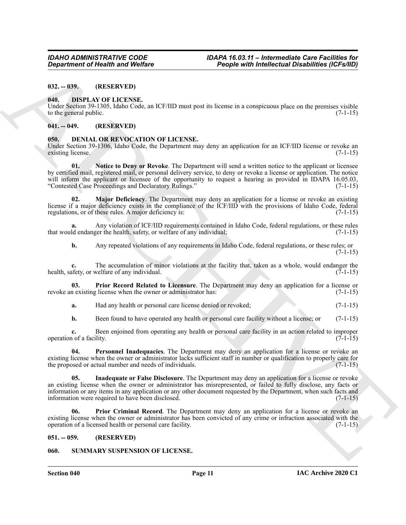<span id="page-10-0"></span>**032. -- 039. (RESERVED)**

#### <span id="page-10-13"></span><span id="page-10-1"></span>**040. DISPLAY OF LICENSE.**

Under Section 39-1305, Idaho Code, an ICF/IID must post its license in a conspicuous place on the premises visible to the general public.  $(7-1-15)$ 

#### <span id="page-10-2"></span>**041. -- 049. (RESERVED)**

#### <span id="page-10-6"></span><span id="page-10-3"></span>**050. DENIAL OR REVOCATION OF LICENSE.**

<span id="page-10-9"></span>Under Section 39-1306, Idaho Code, the Department may deny an application for an ICF/IID license or revoke an existing license. (7-1-15)

**Equivalent of Newth Workers** <sup>11</sup> People with *individual* and **Equivalent** (CF-20)<br>
102. **(B)**<br>
103. **DENA OF LICENSE.**<br>
104. **DENA OF LICENSE.**<br>
104. **DENA OF LICENSE.**<br>
104. **DENA OF LICENSE.**<br>
104. **DENA OF LICENSE. 01. Notice to Deny or Revoke**. The Department will send a written notice to the applicant or licensee by certified mail, registered mail, or personal delivery service, to deny or revoke a license or application. The notice will inform the applicant or licensee of the opportunity to request a hearing as provided in IDAPA 16.05.03, "Contested Case Proceedings and Declaratory Rulings." (7-1-15) "Contested Case Proceedings and Declaratory Rulings."

<span id="page-10-8"></span>**Major Deficiency**. The Department may deny an application for a license or revoke an existing license if a major deficiency exists in the compliance of the ICF/IID with the provisions of Idaho Code, federal regulations, or of these rules. A major deficiency is: (7-1-15)

**a.** Any violation of ICF/IID requirements contained in Idaho Code, federal regulations, or these rules that would endanger the health, safety, or welfare of any individual; (7-1-15)

**b.** Any repeated violations of any requirements in Idaho Code, federal regulations, or these rules; or  $(7-1-15)$ 

**c.** The accumulation of minor violations at the facility that, taken as a whole, would endanger the health, safety, or welfare of any individual. (7-1-15)

**03. Prior Record Related to Licensure**. The Department may deny an application for a license or revoke an existing license when the owner or administrator has: (7-1-15)

<span id="page-10-12"></span>**a.** Had any health or personal care license denied or revoked;  $(7-1-15)$ 

<span id="page-10-10"></span>**b.** Been found to have operated any health or personal care facility without a license; or (7-1-15)

**c.** Been enjoined from operating any health or personal care facility in an action related to improper 1 of a facility. (7-1-15) operation of a facility.

**04. Personnel Inadequacies**. The Department may deny an application for a license or revoke an existing license when the owner or administrator lacks sufficient staff in number or qualification to properly care for the proposed or actual number and needs of individuals. (7-1-15) the proposed or actual number and needs of individuals.

<span id="page-10-7"></span>**05. Inadequate or False Disclosure**. The Department may deny an application for a license or revoke an existing license when the owner or administrator has misrepresented, or failed to fully disclose, any facts or information or any items in any application or any other document requested by the Department, when such facts and information were required to have been disclosed. (7-1-15) information were required to have been disclosed.

<span id="page-10-11"></span>**06. Prior Criminal Record**. The Department may deny an application for a license or revoke an existing license when the owner or administrator has been convicted of any crime or infraction associated with the operation of a licensed health or personal care facility. (7-1-15)

#### <span id="page-10-4"></span>**051. -- 059. (RESERVED)**

#### <span id="page-10-5"></span>**060. SUMMARY SUSPENSION OF LICENSE.**

**Section 040 Page 11**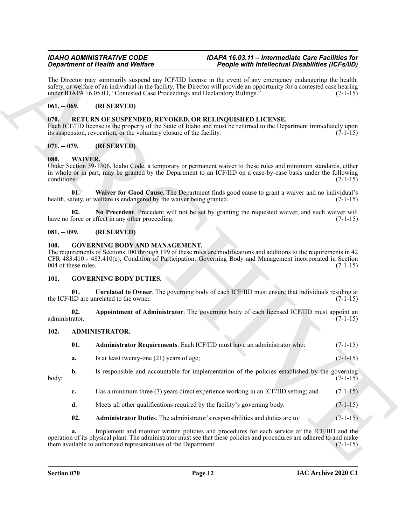### <span id="page-11-0"></span>**061. -- 069. (RESERVED)**

#### <span id="page-11-10"></span><span id="page-11-1"></span>**070. RETURN OF SUSPENDED, REVOKED, OR RELINQUISHED LICENSE.**

### <span id="page-11-2"></span>**071. -- 079. (RESERVED)**

### <span id="page-11-18"></span><span id="page-11-16"></span><span id="page-11-3"></span>**080. WAIVER.**

#### <span id="page-11-17"></span><span id="page-11-4"></span>**081. -- 099. (RESERVED)**

#### <span id="page-11-11"></span><span id="page-11-5"></span>**100. GOVERNING BODY AND MANAGEMENT.**

### <span id="page-11-15"></span><span id="page-11-12"></span><span id="page-11-6"></span>**101. GOVERNING BODY DUTIES.**

#### <span id="page-11-14"></span><span id="page-11-13"></span><span id="page-11-8"></span><span id="page-11-7"></span>**102. ADMINISTRATOR.**

| The Director may summarily suspend any ICF/IID license in the event of any emergency endangering the health,<br>safety, or welfare of an individual in the facility. The Director will provide an opportunity for a contested case hearing<br>under IDAPA 16.05.03, "Contested Case Proceedings and Declaratory Rulings."<br>$(7-1-15)$<br>$061. - 069.$<br>(RESERVED)<br>RETURN OF SUSPENDED, REVOKED, OR RELINQUISHED LICENSE.<br>070.<br>Each ICF/IID license is the property of the State of Idaho and must be returned to the Department immediately upon<br>its suspension, revocation, or the voluntary closure of the facility.<br>$(7-1-15)$<br>$071. - 079.$<br>(RESERVED)<br>080.<br><b>WAIVER.</b><br>Under Section 39-1306, Idaho Code, a temporary or permanent waiver to these rules and minimum standards, either<br>in whole or in part, may be granted by the Department to an ICF/IID on a case-by-case basis under the following<br>conditions:<br>$(7-1-15)$<br>Waiver for Good Cause. The Department finds good cause to grant a waiver and no individual's<br>01.<br>health, safety, or welfare is endangered by the waiver being granted.<br>$(7-1-15)$<br>No Precedent. Precedent will not be set by granting the requested waiver, and such waiver will<br>02.<br>have no force or effect in any other proceeding.<br>$(7-1-15)$<br>$081. - 099.$<br>(RESERVED)<br><b>GOVERNING BODY AND MANAGEMENT.</b><br><b>100.</b><br>The requirements of Sections 100 through 199 of these rules are modifications and additions to the requirements in 42<br>CFR 483.410 - 483.410(e), Condition of Participation: Governing Body and Management incorporated in Section<br>004 of these rules.<br>$(7-1-15)$<br>101.<br><b>GOVERNING BODY DUTIES.</b><br>Unrelated to Owner. The governing body of each ICF/IID must ensure that individuals residing at<br>01.<br>the ICF/IID are unrelated to the owner.<br>$(7-1-15)$<br>Appointment of Administrator. The governing body of each licensed ICF/IID must appoint an<br>02.<br>administrator.<br>$(7-1-15)$<br>ADMINISTRATOR.<br>102.<br>01.<br>Administrator Requirements. Each ICF/IID must have an administrator who:<br>$(7-1-15)$<br>$(7-1-15)$<br>Is at least twenty-one (21) years of age;<br>a.<br>b.<br>Is responsible and accountable for implementation of the policies established by the governing<br>body;<br>$(7-1-15)$<br>Has a minimum three (3) years direct experience working in an ICF/IID setting; and<br>$(7-1-15)$<br>c.<br>Meets all other qualifications required by the facility's governing body.<br>d.<br>$(7-1-15)$<br>02.<br>Administrator Duties. The administrator's responsibilities and duties are to:<br>$(7-1-15)$<br>Implement and monitor written policies and procedures for each service of the ICF/IID and the<br>a.<br>operation of its physical plant. The administrator must see that these policies and procedures are adhered to and make<br>them available to authorized representatives of the Department.<br>$(7-1-15)$ |  | <b>Department of Health and Welfare</b> | People with Intellectual Disabilities (ICFs/IID) |  |  |
|----------------------------------------------------------------------------------------------------------------------------------------------------------------------------------------------------------------------------------------------------------------------------------------------------------------------------------------------------------------------------------------------------------------------------------------------------------------------------------------------------------------------------------------------------------------------------------------------------------------------------------------------------------------------------------------------------------------------------------------------------------------------------------------------------------------------------------------------------------------------------------------------------------------------------------------------------------------------------------------------------------------------------------------------------------------------------------------------------------------------------------------------------------------------------------------------------------------------------------------------------------------------------------------------------------------------------------------------------------------------------------------------------------------------------------------------------------------------------------------------------------------------------------------------------------------------------------------------------------------------------------------------------------------------------------------------------------------------------------------------------------------------------------------------------------------------------------------------------------------------------------------------------------------------------------------------------------------------------------------------------------------------------------------------------------------------------------------------------------------------------------------------------------------------------------------------------------------------------------------------------------------------------------------------------------------------------------------------------------------------------------------------------------------------------------------------------------------------------------------------------------------------------------------------------------------------------------------------------------------------------------------------------------------------------------------------------------------------------------------------------------------------------------------------------------------------------------------------------------------------------------------------------------------------------------------------------------------------------------------------------------------------------------------------|--|-----------------------------------------|--------------------------------------------------|--|--|
|                                                                                                                                                                                                                                                                                                                                                                                                                                                                                                                                                                                                                                                                                                                                                                                                                                                                                                                                                                                                                                                                                                                                                                                                                                                                                                                                                                                                                                                                                                                                                                                                                                                                                                                                                                                                                                                                                                                                                                                                                                                                                                                                                                                                                                                                                                                                                                                                                                                                                                                                                                                                                                                                                                                                                                                                                                                                                                                                                                                                                                              |  |                                         |                                                  |  |  |
|                                                                                                                                                                                                                                                                                                                                                                                                                                                                                                                                                                                                                                                                                                                                                                                                                                                                                                                                                                                                                                                                                                                                                                                                                                                                                                                                                                                                                                                                                                                                                                                                                                                                                                                                                                                                                                                                                                                                                                                                                                                                                                                                                                                                                                                                                                                                                                                                                                                                                                                                                                                                                                                                                                                                                                                                                                                                                                                                                                                                                                              |  |                                         |                                                  |  |  |
|                                                                                                                                                                                                                                                                                                                                                                                                                                                                                                                                                                                                                                                                                                                                                                                                                                                                                                                                                                                                                                                                                                                                                                                                                                                                                                                                                                                                                                                                                                                                                                                                                                                                                                                                                                                                                                                                                                                                                                                                                                                                                                                                                                                                                                                                                                                                                                                                                                                                                                                                                                                                                                                                                                                                                                                                                                                                                                                                                                                                                                              |  |                                         |                                                  |  |  |
|                                                                                                                                                                                                                                                                                                                                                                                                                                                                                                                                                                                                                                                                                                                                                                                                                                                                                                                                                                                                                                                                                                                                                                                                                                                                                                                                                                                                                                                                                                                                                                                                                                                                                                                                                                                                                                                                                                                                                                                                                                                                                                                                                                                                                                                                                                                                                                                                                                                                                                                                                                                                                                                                                                                                                                                                                                                                                                                                                                                                                                              |  |                                         |                                                  |  |  |
|                                                                                                                                                                                                                                                                                                                                                                                                                                                                                                                                                                                                                                                                                                                                                                                                                                                                                                                                                                                                                                                                                                                                                                                                                                                                                                                                                                                                                                                                                                                                                                                                                                                                                                                                                                                                                                                                                                                                                                                                                                                                                                                                                                                                                                                                                                                                                                                                                                                                                                                                                                                                                                                                                                                                                                                                                                                                                                                                                                                                                                              |  |                                         |                                                  |  |  |
|                                                                                                                                                                                                                                                                                                                                                                                                                                                                                                                                                                                                                                                                                                                                                                                                                                                                                                                                                                                                                                                                                                                                                                                                                                                                                                                                                                                                                                                                                                                                                                                                                                                                                                                                                                                                                                                                                                                                                                                                                                                                                                                                                                                                                                                                                                                                                                                                                                                                                                                                                                                                                                                                                                                                                                                                                                                                                                                                                                                                                                              |  |                                         |                                                  |  |  |
|                                                                                                                                                                                                                                                                                                                                                                                                                                                                                                                                                                                                                                                                                                                                                                                                                                                                                                                                                                                                                                                                                                                                                                                                                                                                                                                                                                                                                                                                                                                                                                                                                                                                                                                                                                                                                                                                                                                                                                                                                                                                                                                                                                                                                                                                                                                                                                                                                                                                                                                                                                                                                                                                                                                                                                                                                                                                                                                                                                                                                                              |  |                                         |                                                  |  |  |
|                                                                                                                                                                                                                                                                                                                                                                                                                                                                                                                                                                                                                                                                                                                                                                                                                                                                                                                                                                                                                                                                                                                                                                                                                                                                                                                                                                                                                                                                                                                                                                                                                                                                                                                                                                                                                                                                                                                                                                                                                                                                                                                                                                                                                                                                                                                                                                                                                                                                                                                                                                                                                                                                                                                                                                                                                                                                                                                                                                                                                                              |  |                                         |                                                  |  |  |
|                                                                                                                                                                                                                                                                                                                                                                                                                                                                                                                                                                                                                                                                                                                                                                                                                                                                                                                                                                                                                                                                                                                                                                                                                                                                                                                                                                                                                                                                                                                                                                                                                                                                                                                                                                                                                                                                                                                                                                                                                                                                                                                                                                                                                                                                                                                                                                                                                                                                                                                                                                                                                                                                                                                                                                                                                                                                                                                                                                                                                                              |  |                                         |                                                  |  |  |
|                                                                                                                                                                                                                                                                                                                                                                                                                                                                                                                                                                                                                                                                                                                                                                                                                                                                                                                                                                                                                                                                                                                                                                                                                                                                                                                                                                                                                                                                                                                                                                                                                                                                                                                                                                                                                                                                                                                                                                                                                                                                                                                                                                                                                                                                                                                                                                                                                                                                                                                                                                                                                                                                                                                                                                                                                                                                                                                                                                                                                                              |  |                                         |                                                  |  |  |
|                                                                                                                                                                                                                                                                                                                                                                                                                                                                                                                                                                                                                                                                                                                                                                                                                                                                                                                                                                                                                                                                                                                                                                                                                                                                                                                                                                                                                                                                                                                                                                                                                                                                                                                                                                                                                                                                                                                                                                                                                                                                                                                                                                                                                                                                                                                                                                                                                                                                                                                                                                                                                                                                                                                                                                                                                                                                                                                                                                                                                                              |  |                                         |                                                  |  |  |
|                                                                                                                                                                                                                                                                                                                                                                                                                                                                                                                                                                                                                                                                                                                                                                                                                                                                                                                                                                                                                                                                                                                                                                                                                                                                                                                                                                                                                                                                                                                                                                                                                                                                                                                                                                                                                                                                                                                                                                                                                                                                                                                                                                                                                                                                                                                                                                                                                                                                                                                                                                                                                                                                                                                                                                                                                                                                                                                                                                                                                                              |  |                                         |                                                  |  |  |
|                                                                                                                                                                                                                                                                                                                                                                                                                                                                                                                                                                                                                                                                                                                                                                                                                                                                                                                                                                                                                                                                                                                                                                                                                                                                                                                                                                                                                                                                                                                                                                                                                                                                                                                                                                                                                                                                                                                                                                                                                                                                                                                                                                                                                                                                                                                                                                                                                                                                                                                                                                                                                                                                                                                                                                                                                                                                                                                                                                                                                                              |  |                                         |                                                  |  |  |
|                                                                                                                                                                                                                                                                                                                                                                                                                                                                                                                                                                                                                                                                                                                                                                                                                                                                                                                                                                                                                                                                                                                                                                                                                                                                                                                                                                                                                                                                                                                                                                                                                                                                                                                                                                                                                                                                                                                                                                                                                                                                                                                                                                                                                                                                                                                                                                                                                                                                                                                                                                                                                                                                                                                                                                                                                                                                                                                                                                                                                                              |  |                                         |                                                  |  |  |
|                                                                                                                                                                                                                                                                                                                                                                                                                                                                                                                                                                                                                                                                                                                                                                                                                                                                                                                                                                                                                                                                                                                                                                                                                                                                                                                                                                                                                                                                                                                                                                                                                                                                                                                                                                                                                                                                                                                                                                                                                                                                                                                                                                                                                                                                                                                                                                                                                                                                                                                                                                                                                                                                                                                                                                                                                                                                                                                                                                                                                                              |  |                                         |                                                  |  |  |
|                                                                                                                                                                                                                                                                                                                                                                                                                                                                                                                                                                                                                                                                                                                                                                                                                                                                                                                                                                                                                                                                                                                                                                                                                                                                                                                                                                                                                                                                                                                                                                                                                                                                                                                                                                                                                                                                                                                                                                                                                                                                                                                                                                                                                                                                                                                                                                                                                                                                                                                                                                                                                                                                                                                                                                                                                                                                                                                                                                                                                                              |  |                                         |                                                  |  |  |
|                                                                                                                                                                                                                                                                                                                                                                                                                                                                                                                                                                                                                                                                                                                                                                                                                                                                                                                                                                                                                                                                                                                                                                                                                                                                                                                                                                                                                                                                                                                                                                                                                                                                                                                                                                                                                                                                                                                                                                                                                                                                                                                                                                                                                                                                                                                                                                                                                                                                                                                                                                                                                                                                                                                                                                                                                                                                                                                                                                                                                                              |  |                                         |                                                  |  |  |
|                                                                                                                                                                                                                                                                                                                                                                                                                                                                                                                                                                                                                                                                                                                                                                                                                                                                                                                                                                                                                                                                                                                                                                                                                                                                                                                                                                                                                                                                                                                                                                                                                                                                                                                                                                                                                                                                                                                                                                                                                                                                                                                                                                                                                                                                                                                                                                                                                                                                                                                                                                                                                                                                                                                                                                                                                                                                                                                                                                                                                                              |  |                                         |                                                  |  |  |
|                                                                                                                                                                                                                                                                                                                                                                                                                                                                                                                                                                                                                                                                                                                                                                                                                                                                                                                                                                                                                                                                                                                                                                                                                                                                                                                                                                                                                                                                                                                                                                                                                                                                                                                                                                                                                                                                                                                                                                                                                                                                                                                                                                                                                                                                                                                                                                                                                                                                                                                                                                                                                                                                                                                                                                                                                                                                                                                                                                                                                                              |  |                                         |                                                  |  |  |
|                                                                                                                                                                                                                                                                                                                                                                                                                                                                                                                                                                                                                                                                                                                                                                                                                                                                                                                                                                                                                                                                                                                                                                                                                                                                                                                                                                                                                                                                                                                                                                                                                                                                                                                                                                                                                                                                                                                                                                                                                                                                                                                                                                                                                                                                                                                                                                                                                                                                                                                                                                                                                                                                                                                                                                                                                                                                                                                                                                                                                                              |  |                                         |                                                  |  |  |

- **c.** Has a minimum three (3) years direct experience working in an ICF/IID setting; and (7-1-15)
- **d.** Meets all other qualifications required by the facility's governing body. (7-1-15)
- <span id="page-11-9"></span>**02.** Administrator Duties. The administrator's responsibilities and duties are to: (7-1-15)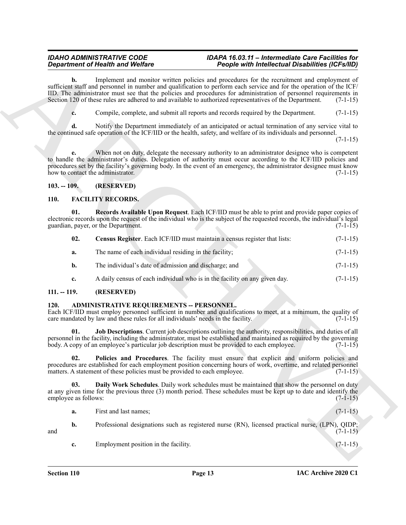### <span id="page-12-10"></span><span id="page-12-9"></span><span id="page-12-8"></span><span id="page-12-1"></span><span id="page-12-0"></span>**110. FACILITY RECORDS.**

|                      |     | <b>Department of Health and Welfare</b>                                                                                                                                                                                                                                                                                                                                                                                                             | People with Intellectual Disabilities (ICFs/IID) |            |
|----------------------|-----|-----------------------------------------------------------------------------------------------------------------------------------------------------------------------------------------------------------------------------------------------------------------------------------------------------------------------------------------------------------------------------------------------------------------------------------------------------|--------------------------------------------------|------------|
|                      | b.  | Implement and monitor written policies and procedures for the recruitment and employment of<br>sufficient staff and personnel in number and qualification to perform each service and for the operation of the ICF/<br>IID. The administrator must see that the policies and procedures for administration of personnel requirements in<br>Section 120 of these rules are adhered to and available to authorized representatives of the Department. |                                                  | $(7-1-15)$ |
|                      | c.  | Compile, complete, and submit all reports and records required by the Department.                                                                                                                                                                                                                                                                                                                                                                   |                                                  | $(7-1-15)$ |
|                      | d.  | Notify the Department immediately of an anticipated or actual termination of any service vital to<br>the continued safe operation of the ICF/IID or the health, safety, and welfare of its individuals and personnel.                                                                                                                                                                                                                               |                                                  | $(7-1-15)$ |
|                      | e.  | When not on duty, delegate the necessary authority to an administrator designee who is competent<br>to handle the administrator's duties. Delegation of authority must occur according to the ICF/IID policies and<br>procedures set by the facility's governing body. In the event of an emergency, the administrator designee must know<br>how to contact the administrator.                                                                      |                                                  | $(7-1-15)$ |
| $103. - 109.$        |     | (RESERVED)                                                                                                                                                                                                                                                                                                                                                                                                                                          |                                                  |            |
| <b>110.</b>          |     | <b>FACILITY RECORDS.</b>                                                                                                                                                                                                                                                                                                                                                                                                                            |                                                  |            |
|                      | 01. | Records Available Upon Request. Each ICF/IID must be able to print and provide paper copies of<br>electronic records upon the request of the individual who is the subject of the requested records, the individual's legal<br>guardian, payer, or the Department.                                                                                                                                                                                  |                                                  | $(7-1-15)$ |
|                      | 02. | Census Register. Each ICF/IID must maintain a census register that lists:                                                                                                                                                                                                                                                                                                                                                                           |                                                  | $(7-1-15)$ |
|                      | a.  | The name of each individual residing in the facility;                                                                                                                                                                                                                                                                                                                                                                                               |                                                  | $(7-1-15)$ |
|                      | b.  | The individual's date of admission and discharge; and                                                                                                                                                                                                                                                                                                                                                                                               |                                                  | $(7-1-15)$ |
|                      | c.  | A daily census of each individual who is in the facility on any given day.                                                                                                                                                                                                                                                                                                                                                                          |                                                  | $(7-1-15)$ |
| $111. - 119.$        |     | (RESERVED)                                                                                                                                                                                                                                                                                                                                                                                                                                          |                                                  |            |
| 120.                 |     | ADMINISTRATIVE REQUIREMENTS -- PERSONNEL.<br>Each ICF/IID must employ personnel sufficient in number and qualifications to meet, at a minimum, the quality of<br>care mandated by law and these rules for all individuals' needs in the facility.                                                                                                                                                                                                   |                                                  | $(7-1-15)$ |
|                      | 01. | Job Descriptions. Current job descriptions outlining the authority, responsibilities, and duties of all<br>personnel in the facility, including the administrator, must be established and maintained as required by the governing<br>body. A copy of an employee's particular job description must be provided to each employee.                                                                                                                   |                                                  | $(7-1-15)$ |
|                      | 02. | Policies and Procedures. The facility must ensure that explicit and uniform policies and<br>procedures are established for each employment position concerning hours of work, overtime, and related personnel<br>matters. A statement of these policies must be provided to each employee.                                                                                                                                                          |                                                  | $(7-1-15)$ |
| employee as follows: | 03. | Daily Work Schedules. Daily work schedules must be maintained that show the personnel on duty<br>at any given time for the previous three (3) month period. These schedules must be kept up to date and identify the                                                                                                                                                                                                                                |                                                  | $(7-1-15)$ |
|                      | a.  | First and last names;                                                                                                                                                                                                                                                                                                                                                                                                                               |                                                  | $(7-1-15)$ |
|                      | b.  | Professional designations such as registered nurse (RN), licensed practical nurse, (LPN), QIDP;                                                                                                                                                                                                                                                                                                                                                     |                                                  | $(7-1-15)$ |
| and                  |     |                                                                                                                                                                                                                                                                                                                                                                                                                                                     |                                                  |            |

# <span id="page-12-2"></span>**111. -- 119. (RESERVED)**

### <span id="page-12-6"></span><span id="page-12-4"></span><span id="page-12-3"></span>120. ADMINISTRATIVE REQUIREMENTS -- PERSONNEL.

<span id="page-12-7"></span><span id="page-12-5"></span>

| а. | First and last names: |  | $(7-1-15)$ |
|----|-----------------------|--|------------|
|    |                       |  |            |

- **b.** Professional designations such as registered nurse (RN), licensed practical nurse, (LPN), QIDP; and  $(7-1-15)$ 
	- **c.** Employment position in the facility. (7-1-15)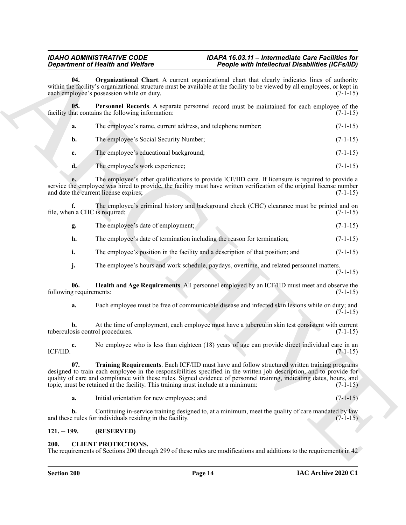<span id="page-13-4"></span><span id="page-13-3"></span>

|                                        | <b>Department of Health and Welfare</b>                                                                                                                                                                                                                                                                                                                                                                                            | People with Intellectual Disabilities (ICFs/IID) |            |
|----------------------------------------|------------------------------------------------------------------------------------------------------------------------------------------------------------------------------------------------------------------------------------------------------------------------------------------------------------------------------------------------------------------------------------------------------------------------------------|--------------------------------------------------|------------|
| 04.                                    | Organizational Chart. A current organizational chart that clearly indicates lines of authority<br>within the facility's organizational structure must be available at the facility to be viewed by all employees, or kept in<br>each employee's possession while on duty.                                                                                                                                                          |                                                  | $(7-1-15)$ |
| 05.                                    | Personnel Records. A separate personnel record must be maintained for each employee of the<br>facility that contains the following information:                                                                                                                                                                                                                                                                                    |                                                  | $(7-1-15)$ |
| a.                                     | The employee's name, current address, and telephone number;                                                                                                                                                                                                                                                                                                                                                                        |                                                  | $(7-1-15)$ |
| b.                                     | The employee's Social Security Number;                                                                                                                                                                                                                                                                                                                                                                                             |                                                  | $(7-1-15)$ |
| c.                                     | The employee's educational background;                                                                                                                                                                                                                                                                                                                                                                                             |                                                  | $(7-1-15)$ |
| d.                                     | The employee's work experience;                                                                                                                                                                                                                                                                                                                                                                                                    |                                                  | $(7-1-15)$ |
|                                        | The employee's other qualifications to provide ICF/IID care. If licensure is required to provide a<br>service the employee was hired to provide, the facility must have written verification of the original license number<br>and date the current license expires;                                                                                                                                                               |                                                  | $(7-1-15)$ |
| f.<br>file, when a CHC is required;    | The employee's criminal history and background check (CHC) clearance must be printed and on                                                                                                                                                                                                                                                                                                                                        |                                                  | $(7-1-15)$ |
| g.                                     | The employee's date of employment;                                                                                                                                                                                                                                                                                                                                                                                                 |                                                  | $(7-1-15)$ |
| h.                                     | The employee's date of termination including the reason for termination;                                                                                                                                                                                                                                                                                                                                                           |                                                  | $(7-1-15)$ |
| i.                                     | The employee's position in the facility and a description of that position; and                                                                                                                                                                                                                                                                                                                                                    |                                                  | $(7-1-15)$ |
| j.                                     | The employee's hours and work schedule, paydays, overtime, and related personnel matters.                                                                                                                                                                                                                                                                                                                                          |                                                  | $(7-1-15)$ |
| 06.<br>following requirements:         | Health and Age Requirements. All personnel employed by an ICF/IID must meet and observe the                                                                                                                                                                                                                                                                                                                                        |                                                  | $(7-1-15)$ |
| a.                                     | Each employee must be free of communicable disease and infected skin lesions while on duty; and                                                                                                                                                                                                                                                                                                                                    |                                                  | $(7-1-15)$ |
| b.<br>tuberculosis control procedures. | At the time of employment, each employee must have a tuberculin skin test consistent with current                                                                                                                                                                                                                                                                                                                                  |                                                  | $(7-1-15)$ |
| c.<br>ICF/IID.                         | No employee who is less than eighteen (18) years of age can provide direct individual care in an                                                                                                                                                                                                                                                                                                                                   |                                                  | $(7-1-15)$ |
| 07.                                    | Training Requirements. Each ICF/IID must have and follow structured written training programs<br>designed to train each employee in the responsibilities specified in the written job description, and to provide for<br>quality of care and compliance with these rules. Signed evidence of personnel training, indicating dates, hours, and<br>topic, must be retained at the facility. This training must include at a minimum: |                                                  | $(7-1-15)$ |
| a.                                     | Initial orientation for new employees; and                                                                                                                                                                                                                                                                                                                                                                                         |                                                  | $(7-1-15)$ |
| b.                                     | Continuing in-service training designed to, at a minimum, meet the quality of care mandated by law<br>and these rules for individuals residing in the facility.                                                                                                                                                                                                                                                                    |                                                  | $(7-1-15)$ |
|                                        |                                                                                                                                                                                                                                                                                                                                                                                                                                    |                                                  |            |

- **g.** The employee's date of employment; (7-1-15)
- **h.** The employee's date of termination including the reason for termination;  $(7-1-15)$
- **i.** The employee's position in the facility and a description of that position; and (7-1-15)
- <span id="page-13-2"></span>**j.** The employee's hours and work schedule, paydays, overtime, and related personnel matters.

# <span id="page-13-5"></span><span id="page-13-0"></span>**121. -- 199. (RESERVED)**

# <span id="page-13-6"></span><span id="page-13-1"></span>**200. CLIENT PROTECTIONS.**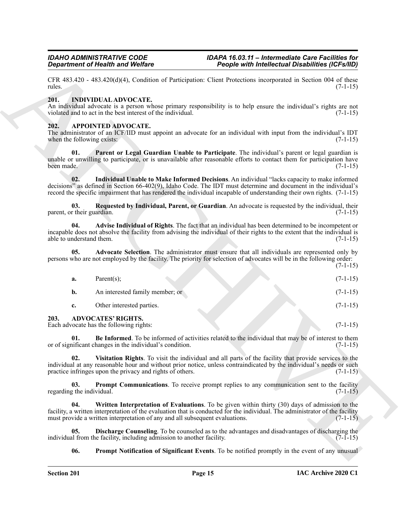#### <span id="page-14-16"></span><span id="page-14-0"></span>**201. INDIVIDUAL ADVOCATE.**

### <span id="page-14-15"></span><span id="page-14-14"></span><span id="page-14-13"></span><span id="page-14-12"></span><span id="page-14-11"></span><span id="page-14-10"></span><span id="page-14-9"></span><span id="page-14-8"></span><span id="page-14-7"></span><span id="page-14-6"></span><span id="page-14-5"></span><span id="page-14-4"></span><span id="page-14-3"></span><span id="page-14-2"></span><span id="page-14-1"></span>**202. APPOINTED ADVOCATE.**

|                                    | <b>Department of Health and Welfare</b>                                                    | People with Intellectual Disabilities (ICFs/IID)                                                                                                                                                                                                                                                                                         |            |
|------------------------------------|--------------------------------------------------------------------------------------------|------------------------------------------------------------------------------------------------------------------------------------------------------------------------------------------------------------------------------------------------------------------------------------------------------------------------------------------|------------|
| rules.                             |                                                                                            | CFR 483.420 - 483.420(d)(4), Condition of Participation: Client Protections incorporated in Section 004 of these                                                                                                                                                                                                                         | $(7-1-15)$ |
| 201.                               | <b>INDIVIDUAL ADVOCATE.</b><br>violated and to act in the best interest of the individual. | An individual advocate is a person whose primary responsibility is to help ensure the individual's rights are not                                                                                                                                                                                                                        | $(7-1-15)$ |
| 202.<br>when the following exists: | APPOINTED ADVOCATE.                                                                        | The administrator of an ICF/IID must appoint an advocate for an individual with input from the individual's IDT                                                                                                                                                                                                                          | $(7-1-15)$ |
| 01.<br>been made.                  |                                                                                            | Parent or Legal Guardian Unable to Participate. The individual's parent or legal guardian is<br>unable or unwilling to participate, or is unavailable after reasonable efforts to contact them for participation have                                                                                                                    | $(7-1-15)$ |
| 02.                                |                                                                                            | Individual Unable to Make Informed Decisions. An individual "lacks capacity to make informed<br>decisions" as defined in Section 66-402(9), Idaho Code. The IDT must determine and document in the individual's<br>record the specific impairment that has rendered the individual incapable of understanding their own rights. (7-1-15) |            |
| 03.<br>parent, or their guardian.  |                                                                                            | Requested by Individual, Parent, or Guardian. An advocate is requested by the individual, their                                                                                                                                                                                                                                          | $(7-1-15)$ |
| 04.<br>able to understand them.    |                                                                                            | Advise Individual of Rights. The fact that an individual has been determined to be incompetent or<br>incapable does not absolve the facility from advising the individual of their rights to the extent that the individual is                                                                                                           | $(7-1-15)$ |
| 05.                                |                                                                                            | Advocate Selection. The administrator must ensure that all individuals are represented only by<br>persons who are not employed by the facility. The priority for selection of advocates will be in the following order:                                                                                                                  | $(7-1-15)$ |
| a.                                 | Parent $(s)$ ;                                                                             |                                                                                                                                                                                                                                                                                                                                          | $(7-1-15)$ |
| $\mathbf{b}$ .                     | An interested family member; or                                                            |                                                                                                                                                                                                                                                                                                                                          | $(7-1-15)$ |
| c.                                 | Other interested parties.                                                                  |                                                                                                                                                                                                                                                                                                                                          | $(7-1-15)$ |
| 203.                               | <b>ADVOCATES' RIGHTS.</b><br>Each advocate has the following rights:                       |                                                                                                                                                                                                                                                                                                                                          | $(7-1-15)$ |
| 01.                                | or of significant changes in the individual's condition.                                   | Be Informed. To be informed of activities related to the individual that may be of interest to them                                                                                                                                                                                                                                      | $(7-1-15)$ |
| 02.                                | practice infringes upon the privacy and rights of others.                                  | Visitation Rights. To visit the individual and all parts of the facility that provide services to the<br>individual at any reasonable hour and without prior notice, unless contraindicated by the individual's needs or such                                                                                                            | $(7-1-15)$ |
| 03.<br>regarding the individual.   |                                                                                            | <b>Prompt Communications.</b> To receive prompt replies to any communication sent to the facility                                                                                                                                                                                                                                        | $(7-1-15)$ |
| 04.                                | must provide a written interpretation of any and all subsequent evaluations.               | Written Interpretation of Evaluations. To be given within thirty (30) days of admission to the<br>facility, a written interpretation of the evaluation that is conducted for the individual. The administrator of the facility                                                                                                           | $(7-1-15)$ |
| 05.                                | individual from the facility, including admission to another facility.                     | <b>Discharge Counseling</b> . To be counseled as to the advantages and disadvantages of discharging the                                                                                                                                                                                                                                  | $(7-1-15)$ |
| 06.                                |                                                                                            | <b>Prompt Notification of Significant Events.</b> To be notified promptly in the event of any unusual                                                                                                                                                                                                                                    |            |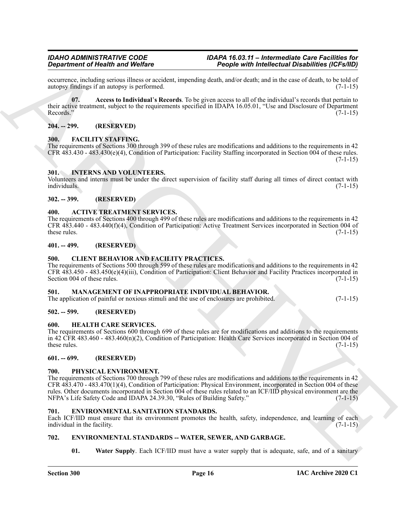occurrence, including serious illness or accident, impending death, and/or death; and in the case of death, to be told of autopsy findings if an autopsy is performed.

<span id="page-15-15"></span>**07. Access to Individual**'**s Records**. To be given access to all of the individual's records that pertain to their active treatment, subject to the requirements specified in IDAPA 16.05.01, "Use and Disclosure of Department<br>Records." (7-1-15) Records." (7-1-15)

### <span id="page-15-0"></span>**204. -- 299. (RESERVED)**

#### <span id="page-15-20"></span><span id="page-15-1"></span>**300. FACILITY STAFFING.**

The requirements of Sections 300 through 399 of these rules are modifications and additions to the requirements in 42 CFR  $483.430 - 483.430(e)(4)$ , Condition of Participation: Facility Staffing incorporated in Section 004 of these rules.  $(7-1-15)$ 

#### <span id="page-15-22"></span><span id="page-15-2"></span>**301. INTERNS AND VOLUNTEERS.**

Volunteers and interns must be under the direct supervision of facility staff during all times of direct contact with individuals. (7-1-15)

#### <span id="page-15-3"></span>**302. -- 399. (RESERVED)**

#### <span id="page-15-14"></span><span id="page-15-4"></span>**400. ACTIVE TREATMENT SERVICES.**

The requirements of Sections 400 through 499 of these rules are modifications and additions to the requirements in 42 CFR 483.440 - 483.440(f)(4), Condition of Participation: Active Treatment Services incorporated in Section 004 of these rules. (7-1-15)

### <span id="page-15-5"></span>**401. -- 499. (RESERVED)**

#### <span id="page-15-16"></span><span id="page-15-6"></span>**500. CLIENT BEHAVIOR AND FACILITY PRACTICES.**

The requirements of Sections 500 through 599 of these rules are modifications and additions to the requirements in 42 CFR 483.450 - 483.450(e)(4)(iii), Condition of Participation: Client Behavior and Facility Practices incorporated in Section 004 of these rules.

#### <span id="page-15-23"></span><span id="page-15-7"></span>**501. MANAGEMENT OF INAPPROPRIATE INDIVIDUAL BEHAVIOR.**

The application of painful or noxious stimuli and the use of enclosures are prohibited. (7-1-15)

### <span id="page-15-8"></span>**502. -- 599. (RESERVED)**

#### <span id="page-15-21"></span><span id="page-15-9"></span>**600. HEALTH CARE SERVICES.**

The requirements of Sections 600 through 699 of these rules are for modifications and additions to the requirements in 42 CFR 483.460 - 483.460(n)(2), Condition of Participation: Health Care Services incorporated in Section 004 of these rules.  $(7-1-15)$ 

#### <span id="page-15-10"></span>**601. -- 699. (RESERVED)**

#### <span id="page-15-24"></span><span id="page-15-11"></span>**700. PHYSICAL ENVIRONMENT.**

**Source of New York Control 14.2** Propose with independent of Definition (Polyheim 1993)<br>
Sources the main of the state of the state of the state of the state of the state of the state of the state of the state of the sta The requirements of Sections 700 through 799 of these rules are modifications and additions to the requirements in 42 CFR 483.470 - 483.470(1)(4), Condition of Participation: Physical Environment, incorporated in Section 004 of these rules. Other documents incorporated in Section 004 of these rules related to an ICF/IID physical environment are the NFPA's Life Safety Code and IDAPA 24.39.30, "Rules of Building Safety." (7-1-15)

#### <span id="page-15-17"></span><span id="page-15-12"></span>**701. ENVIRONMENTAL SANITATION STANDARDS.**

Each ICF/IID must ensure that its environment promotes the health, safety, independence, and learning of each individual in the facility. (7-1-15)

### <span id="page-15-13"></span>**702. ENVIRONMENTAL STANDARDS -- WATER, SEWER, AND GARBAGE.**

<span id="page-15-19"></span><span id="page-15-18"></span>**01.** Water Supply. Each ICF/IID must have a water supply that is adequate, safe, and of a sanitary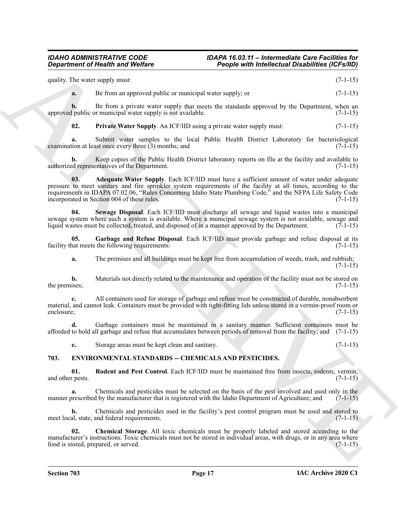quality. The water supply must: (7-1-15) **a.** Be from an approved public or municipal water supply; or  $(7-1-15)$ 

**b.** Be from a private water supply that meets the standards approved by the Department, when an approved public or municipal water supply is not available. (7-1-15)

<span id="page-16-6"></span>**02.** Private Water Supply. An ICF/IID using a private water supply must:  $(7-1-15)$ 

**a.** Submit water samples to the local Public Health District Laboratory for bacteriological ion at least once every three (3) months; and (7-1-15) examination at least once every three  $(3)$  months; and

<span id="page-16-4"></span>**b.** Keep copies of the Public Health District laboratory reports on file at the facility and available to authorized representatives of the Department. (7-1-15)

**Equivariant of Nearth were WebFace <sup>22</sup> Proprie with** *individual* **and** *individual CFSMB***)<br>
quality Tax website the mean approved public as well do well also well also as the summarized by the Department of 14-14)<br>
<b>A**<br> **03. Adequate Water Supply**. Each ICF/IID must have a sufficient amount of water under adequate pressure to meet sanitary and fire sprinkler system requirements of the facility at all times, according to the requirements in IDAPA 07.02.06, "Rules Concerning Idaho State Plumbing Code," and the NFPA Life Safety Code incorporated in Section 004 of these rules. (7-1-15)

<span id="page-16-7"></span>**04. Sewage Disposal**. Each ICF/IID must discharge all sewage and liquid wastes into a municipal sewage system where such a system is available. Where a municipal sewage system is not available, sewage and liquid wastes must be collected, treated, and disposed of in a manner approved by the Department. (7-1-15) liquid wastes must be collected, treated, and disposed of in a manner approved by the Department.

**05.** Garbage and Refuse Disposal. Each ICF/IID must provide garbage and refuse disposal at its hat meets the following requirements: facility that meets the following requirements:

<span id="page-16-5"></span>**a.** The premises and all buildings must be kept free from accumulation of weeds, trash, and rubbish; (7-1-15)

**b.** Materials not directly related to the maintenance and operation of the facility must not be stored on the premises; (7-1-15) the premises;  $(7-1-15)$ 

**c.** All containers used for storage of garbage and refuse must be constructed of durable, nonabsorbent material, and cannot leak. Containers must be provided with tight-fitting lids unless stored in a vermin-proof room or enclosure; (7-1-15)

**d.** Garbage containers must be maintained in a sanitary manner. Sufficient containers must be afforded to hold all garbage and refuse that accumulates between periods of removal from the facility; and (7-1-15)

<span id="page-16-3"></span><span id="page-16-1"></span>**e.** Storage areas must be kept clean and sanitary. (7-1-15)

### <span id="page-16-0"></span>**703. ENVIRONMENTAL STANDARDS -- CHEMICALS AND PESTICIDES.**

**01.** Rodent and Pest Control. Each ICF/IID must be maintained free from insects, rodents, vermin, r pests. (7-1-15) and other pests.

**a.** Chemicals and pesticides must be selected on the basis of the pest involved and used only in the manner prescribed by the manufacturer that is registered with the Idaho Department of Agriculture; and (7-1-15)

**b.** Chemicals and pesticides used in the facility's pest control program must be used and stored to meet local, state, and federal requirements. (7-1-15)

<span id="page-16-2"></span>**02. Chemical Storage**. All toxic chemicals must be properly labeled and stored according to the manufacturer's instructions. Toxic chemicals must not be stored in individual areas, with drugs, or in any area where food is stored, prepared, or served. (7-1-15)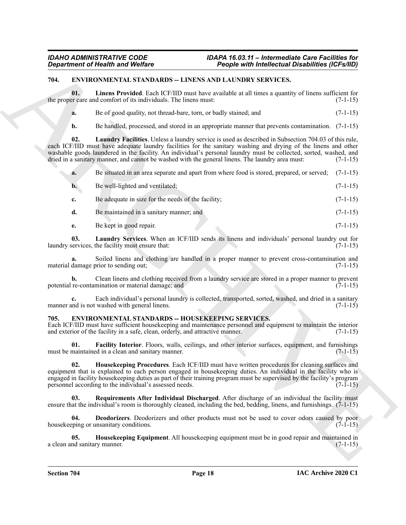### <span id="page-17-7"></span><span id="page-17-0"></span>**704. ENVIRONMENTAL STANDARDS -- LINENS AND LAUNDRY SERVICES.**

**01. Linens Provided**. Each ICF/IID must have available at all times a quantity of linens sufficient for the proper care and comfort of its individuals. The linens must: (7-1-15)

<span id="page-17-10"></span>**a.** Be of good quality, not thread-bare, torn, or badly stained; and  $(7-1-15)$ 

<span id="page-17-8"></span>**b.** Be handled, processed, and stored in an appropriate manner that prevents contamination. (7-1-15)

Geometric of Nearly is not Wolfice<br>
Experiment of Nearly is not Wolfice<br>
The Context State Context State Context State Context State Context State Context State Context State Context State Context State Context State Cont **02. Laundry Facilities**. Unless a laundry service is used as described in Subsection 704.03 of this rule, each ICF/IID must have adequate laundry facilities for the sanitary washing and drying of the linens and other washable goods laundered in the facility. An individual's personal laundry must be collected, sorted, washed, and dried in a sanitary manner, and cannot be washed with the general linens. The laundry area must: (7-1-15) dried in a sanitary manner, and cannot be washed with the general linens. The laundry area must:

**a.** Be situated in an area separate and apart from where food is stored, prepared, or served; (7-1-15)

| $\mathbf{b}$ . | Be well-lighted and ventilated;                    | $(7-1-15)$ |
|----------------|----------------------------------------------------|------------|
|                | Be adequate in size for the needs of the facility; | $(7-1-15)$ |

**d.** Be maintained in a sanitary manner; and  $(7-1-15)$ 

<span id="page-17-9"></span>**e.** Be kept in good repair. (7-1-15)

**03.** Laundry Services. When an ICF/IID sends its linens and individuals' personal laundry out for services, the facility must ensure that: laundry services, the facility must ensure that:

**a.** Soiled linens and clothing are handled in a proper manner to prevent cross-contamination and material damage prior to sending out; (7-1-15)

**b.** Clean linens and clothing received from a laundry service are stored in a proper manner to prevent potential re-contamination or material damage; and (7-1-15)

**c.** Each individual's personal laundry is collected, transported, sorted, washed, and dried in a sanitary and is not washed with general linens. (7-1-15) manner and is not washed with general linens.

### <span id="page-17-2"></span><span id="page-17-1"></span>**705. ENVIRONMENTAL STANDARDS -- HOUSEKEEPING SERVICES.**

Each ICF/IID must have sufficient housekeeping and maintenance personnel and equipment to maintain the interior and exterior of the facility in a safe, clean, orderly, and attractive manner. (7-1-15)

<span id="page-17-4"></span>**01. Facility Interior**. Floors, walls, ceilings, and other interior surfaces, equipment, and furnishings must be maintained in a clean and sanitary manner. (7-1-15)

<span id="page-17-5"></span>**02. Housekeeping Procedures**. Each ICF/IID must have written procedures for cleaning surfaces and equipment that is explained to each person engaged in housekeeping duties. An individual in the facility who is engaged in facility housekeeping duties as part of their training program must be supervised by the facility's program personnel according to the individual's assessed needs. (7-1-15)

<span id="page-17-6"></span>**03. Requirements After Individual Discharged**. After discharge of an individual the facility must ensure that the individual's room is thoroughly cleaned, including the bed, bedding, linens, and furnishings.  $(7-1-15)$ 

<span id="page-17-3"></span>**04. Deodorizers**. Deodorizers and other products must not be used to cover odors caused by poor housekeeping or unsanitary conditions. (7-1-15)

**05. Housekeeping Equipment**. All housekeeping equipment must be in good repair and maintained in a clean and sanitary manner. (7-1-15)

**Section 704 Page 18**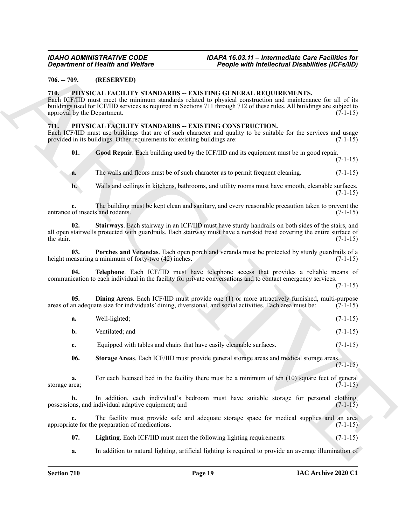### <span id="page-18-10"></span><span id="page-18-0"></span>**706. -- 709. (RESERVED)**

#### <span id="page-18-1"></span>**710. PHYSICAL FACILITY STANDARDS -- EXISTING GENERAL REQUIREMENTS.**

#### <span id="page-18-9"></span><span id="page-18-8"></span><span id="page-18-7"></span><span id="page-18-6"></span><span id="page-18-5"></span><span id="page-18-4"></span><span id="page-18-3"></span><span id="page-18-2"></span>**711. PHYSICAL FACILITY STANDARDS -- EXISTING CONSTRUCTION.**

|                                     | <b>Department of Health and Welfare</b>                                                                                            | People with Intellectual Disabilities (ICFs/IID)                                                                                                                                                                                                                                                          |            |
|-------------------------------------|------------------------------------------------------------------------------------------------------------------------------------|-----------------------------------------------------------------------------------------------------------------------------------------------------------------------------------------------------------------------------------------------------------------------------------------------------------|------------|
| $706. - 709.$                       | (RESERVED)                                                                                                                         |                                                                                                                                                                                                                                                                                                           |            |
| 710.<br>approval by the Department. |                                                                                                                                    | PHYSICAL FACILITY STANDARDS -- EXISTING GENERAL REQUIREMENTS.<br>Each ICF/IID must meet the minimum standards related to physical construction and maintenance for all of its<br>buildings used for ICF/IID services as required in Sections 711 through 712 of these rules. All buildings are subject to | $(7-1-15)$ |
| 711.                                | PHYSICAL FACILITY STANDARDS -- EXISTING CONSTRUCTION.<br>provided in its buildings. Other requirements for existing buildings are: | Each ICF/IID must use buildings that are of such character and quality to be suitable for the services and usage                                                                                                                                                                                          | $(7-1-15)$ |
| 01.                                 |                                                                                                                                    | Good Repair. Each building used by the ICF/IID and its equipment must be in good repair.                                                                                                                                                                                                                  | $(7-1-15)$ |
| a.                                  |                                                                                                                                    | The walls and floors must be of such character as to permit frequent cleaning.                                                                                                                                                                                                                            | $(7-1-15)$ |
| $\mathbf{b}$ .                      |                                                                                                                                    | Walls and ceilings in kitchens, bathrooms, and utility rooms must have smooth, cleanable surfaces.                                                                                                                                                                                                        | $(7-1-15)$ |
| c.                                  | entrance of insects and rodents.                                                                                                   | The building must be kept clean and sanitary, and every reasonable precaution taken to prevent the                                                                                                                                                                                                        | $(7-1-15)$ |
| 02.<br>the stair.                   |                                                                                                                                    | Stairways. Each stairway in an ICF/IID must have sturdy handrails on both sides of the stairs, and<br>all open stairwells protected with guardrails. Each stairway must have a nonskid tread covering the entire surface of                                                                               | $(7-1-15)$ |
| 03.                                 | height measuring a minimum of forty-two (42) inches.                                                                               | Porches and Verandas. Each open porch and veranda must be protected by sturdy guardrails of a                                                                                                                                                                                                             | $(7-1-15)$ |
| 04.                                 |                                                                                                                                    | Telephone. Each ICF/IID must have telephone access that provides a reliable means of<br>communication to each individual in the facility for private conversations and to contact emergency services.                                                                                                     | $(7-1-15)$ |
| 05.                                 |                                                                                                                                    | Dining Areas. Each ICF/IID must provide one (1) or more attractively furnished, multi-purpose<br>areas of an adequate size for individuals' dining, diversional, and social activities. Each area must be:                                                                                                | $(7-1-15)$ |
| a.                                  | Well-lighted;                                                                                                                      |                                                                                                                                                                                                                                                                                                           | $(7-1-15)$ |
| b.                                  | Ventilated; and                                                                                                                    |                                                                                                                                                                                                                                                                                                           | $(7-1-15)$ |
| c.                                  | Equipped with tables and chairs that have easily cleanable surfaces.                                                               |                                                                                                                                                                                                                                                                                                           | $(7-1-15)$ |
| 06.                                 |                                                                                                                                    | Storage Areas. Each ICF/IID must provide general storage areas and medical storage areas.                                                                                                                                                                                                                 | $(7-1-15)$ |
| a.<br>storage area;                 |                                                                                                                                    | For each licensed bed in the facility there must be a minimum of ten (10) square feet of general                                                                                                                                                                                                          | $(7-1-15)$ |
| b.                                  | possessions, and individual adaptive equipment; and                                                                                | In addition, each individual's bedroom must have suitable storage for personal clothing,                                                                                                                                                                                                                  | $(7-1-15)$ |
| c.                                  | appropriate for the preparation of medications.                                                                                    | The facility must provide safe and adequate storage space for medical supplies and an area                                                                                                                                                                                                                | $(7-1-15)$ |
| 07.                                 |                                                                                                                                    | Lighting. Each ICF/IID must meet the following lighting requirements:                                                                                                                                                                                                                                     | $(7-1-15)$ |
| a.                                  |                                                                                                                                    | In addition to natural lighting, artificial lighting is required to provide an average illumination of                                                                                                                                                                                                    |            |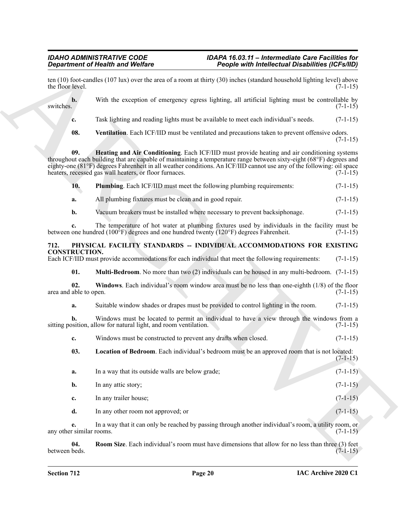<span id="page-19-8"></span><span id="page-19-7"></span><span id="page-19-6"></span><span id="page-19-5"></span><span id="page-19-4"></span><span id="page-19-3"></span><span id="page-19-2"></span><span id="page-19-1"></span><span id="page-19-0"></span>

|                               | <b>Department of Health and Welfare</b>                                                                                                                                                                                                                                                                                                                                                                | People with Intellectual Disabilities (ICFs/IID) |            |
|-------------------------------|--------------------------------------------------------------------------------------------------------------------------------------------------------------------------------------------------------------------------------------------------------------------------------------------------------------------------------------------------------------------------------------------------------|--------------------------------------------------|------------|
| the floor level.              | ten $(10)$ foot-candles $(107 \text{ lux})$ over the area of a room at thirty $(30)$ inches (standard household lighting level) above                                                                                                                                                                                                                                                                  |                                                  | $(7-1-15)$ |
| $b$ .<br>switches.            | With the exception of emergency egress lighting, all artificial lighting must be controllable by                                                                                                                                                                                                                                                                                                       |                                                  | $(7-1-15)$ |
| c.                            | Task lighting and reading lights must be available to meet each individual's needs.                                                                                                                                                                                                                                                                                                                    |                                                  | $(7-1-15)$ |
| 08.                           | Ventilation. Each ICF/IID must be ventilated and precautions taken to prevent offensive odors.                                                                                                                                                                                                                                                                                                         |                                                  | $(7-1-15)$ |
| 09.                           | Heating and Air Conditioning. Each ICF/IID must provide heating and air conditioning systems<br>throughout each building that are capable of maintaining a temperature range between sixty-eight (68°F) degrees and<br>eighty-one (81°F) degrees Fahrenheit in all weather conditions. An ICF/IID cannot use any of the following: oil space<br>heaters, recessed gas wall heaters, or floor furnaces. |                                                  | $(7-1-15)$ |
| 10.                           | Plumbing. Each ICF/IID must meet the following plumbing requirements:                                                                                                                                                                                                                                                                                                                                  |                                                  | $(7-1-15)$ |
| a.                            | All plumbing fixtures must be clean and in good repair.                                                                                                                                                                                                                                                                                                                                                |                                                  | $(7-1-15)$ |
| b.                            | Vacuum breakers must be installed where necessary to prevent backsiphonage.                                                                                                                                                                                                                                                                                                                            |                                                  | $(7-1-15)$ |
| c.                            | The temperature of hot water at plumbing fixtures used by individuals in the facility must be<br>between one hundred $(100^{\circ}F)$ degrees and one hundred twenty $(120^{\circ}F)$ degrees Fahrenheit.                                                                                                                                                                                              |                                                  | $(7-1-15)$ |
| 712.<br><b>CONSTRUCTION.</b>  | PHYSICAL FACILITY STANDARDS -- INDIVIDUAL ACCOMMODATIONS FOR EXISTING                                                                                                                                                                                                                                                                                                                                  |                                                  |            |
|                               | Each ICF/IID must provide accommodations for each individual that meet the following requirements:                                                                                                                                                                                                                                                                                                     |                                                  | $(7-1-15)$ |
| 01.                           | <b>Multi-Bedroom</b> . No more than two (2) individuals can be housed in any multi-bedroom. (7-1-15)                                                                                                                                                                                                                                                                                                   |                                                  |            |
| 02.<br>area and able to open. | <b>Windows</b> . Each individual's room window area must be no less than one-eighth $(1/8)$ of the floor                                                                                                                                                                                                                                                                                               |                                                  | $(7-1-15)$ |
| a.                            | Suitable window shades or drapes must be provided to control lighting in the room.                                                                                                                                                                                                                                                                                                                     |                                                  | $(7-1-15)$ |
| b.                            | Windows must be located to permit an individual to have a view through the windows from a<br>sitting position, allow for natural light, and room ventilation.                                                                                                                                                                                                                                          |                                                  | $(7-1-15)$ |
| c.                            | Windows must be constructed to prevent any drafts when closed.                                                                                                                                                                                                                                                                                                                                         |                                                  | $(7-1-15)$ |
| 03.                           | Location of Bedroom. Each individual's bedroom must be an approved room that is not located:                                                                                                                                                                                                                                                                                                           |                                                  | $(7-1-15)$ |
| a.                            | In a way that its outside walls are below grade;                                                                                                                                                                                                                                                                                                                                                       |                                                  | $(7-1-15)$ |
| b.                            | In any attic story;                                                                                                                                                                                                                                                                                                                                                                                    |                                                  | $(7-1-15)$ |
| c.                            | In any trailer house;                                                                                                                                                                                                                                                                                                                                                                                  |                                                  | $(7-1-15)$ |
| d.                            | In any other room not approved; or                                                                                                                                                                                                                                                                                                                                                                     |                                                  | $(7-1-15)$ |
| e.                            | In a way that it can only be reached by passing through another individual's room, a utility room, or                                                                                                                                                                                                                                                                                                  |                                                  | $(7-1-15)$ |
| any other similar rooms.      |                                                                                                                                                                                                                                                                                                                                                                                                        |                                                  |            |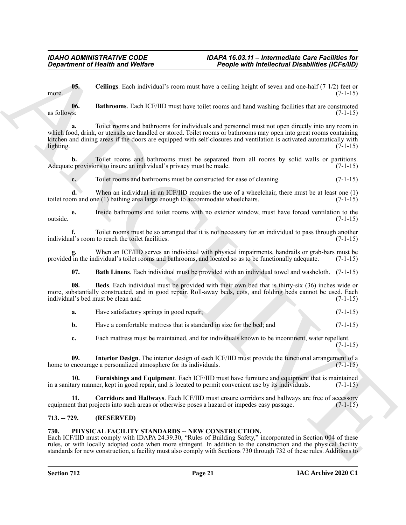<span id="page-20-5"></span>**05. Ceilings**. Each individual's room must have a ceiling height of seven and one-half (7 1/2) feet or more.  $(7-1-15)$ 

<span id="page-20-3"></span>**06. Bathrooms**. Each ICF/IID must have toilet rooms and hand washing facilities that are constructed as follows:  $(7-1-15)$ 

**Department of Nearth was Welfare**<br>
US. Critique, Each individual's trent must have a celling height of seven and cose-heli (7.12) has controlled the celling for the set of the set of the set of the set of the set of the **a.** Toilet rooms and bathrooms for individuals and personnel must not open directly into any room in which food, drink, or utensils are handled or stored. Toilet rooms or bathrooms may open into great rooms containing kitchen and dining areas if the doors are equipped with self-closures and ventilation is activated automatically with lighting. (7-1-15)  $\text{lighting.} \tag{7-1-15}$ 

**b.** Toilet rooms and bathrooms must be separated from all rooms by solid walls or partitions. Adequate provisions to insure an individual's privacy must be made. (7-1-15)

**c.** Toilet rooms and bathrooms must be constructed for ease of cleaning. (7-1-15)

**d.** When an individual in an ICF/IID requires the use of a wheelchair, there must be at least one (1) toilet room and one (1) bathing area large enough to accommodate wheelchairs. (7-1-15)

**e.** Inside bathrooms and toilet rooms with no exterior window, must have forced ventilation to the (7-1-15) outside. (7-1-15)

**f.** Toilet rooms must be so arranged that it is not necessary for an individual to pass through another individual's room to reach the toilet facilities. (7-1-15)

**g.** When an ICF/IID serves an individual with physical impairments, handrails or grab-bars must be provided in the individual's toilet rooms and bathrooms, and located so as to be functionally adequate. (7-1-15)

<span id="page-20-4"></span><span id="page-20-2"></span>**07. Bath Linens**. Each individual must be provided with an individual towel and washcloth. (7-1-15)

**08. Beds**. Each individual must be provided with their own bed that is thirty-six (36) inches wide or more, substantially constructed, and in good repair. Roll-away beds, cots, and folding beds cannot be used. Each individual's bed must be clean and: (7-1-15) individual's bed must be clean and:

**a.** Have satisfactory springs in good repair; (7-1-15)

**b.** Have a comfortable mattress that is standard in size for the bed; and (7-1-15)

<span id="page-20-8"></span><span id="page-20-7"></span>**c.** Each mattress must be maintained, and for individuals known to be incontinent, water repellent.  $(7-1-15)$ 

**09.** Interior Design. The interior design of each ICF/IID must provide the functional arrangement of a encourage a personalized atmosphere for its individuals. (7-1-15) home to encourage a personalized atmosphere for its individuals.

**10.** Furnishings and Equipment. Each ICF/IID must have furniture and equipment that is maintained ary manner, kept in good repair, and is located to permit convenient use by its individuals. (7-1-15) in a sanitary manner, kept in good repair, and is located to permit convenient use by its individuals.

<span id="page-20-6"></span>**11. Corridors and Hallways**. Each ICF/IID must ensure corridors and hallways are free of accessory in that projects into such areas or otherwise poses a hazard or impedes easy passage. (7-1-15) equipment that projects into such areas or otherwise poses a hazard or impedes easy passage.

### <span id="page-20-0"></span>**713. -- 729. (RESERVED)**

#### <span id="page-20-9"></span><span id="page-20-1"></span>**730. PHYSICAL FACILITY STANDARDS -- NEW CONSTRUCTION.**

Each ICF/IID must comply with IDAPA 24.39.30, "Rules of Building Safety," incorporated in Section 004 of these rules, or with locally adopted code when more stringent. In addition to the construction and the physical facility standards for new construction, a facility must also comply with Sections 730 through 732 of these rules. Additions to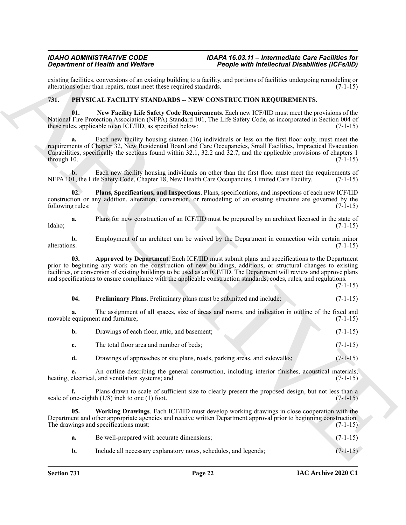existing facilities, conversions of an existing building to a facility, and portions of facilities undergoing remodeling or alterations other than repairs, must meet these required standards. (7-1-15) alterations other than repairs, must meet these required standards.

### <span id="page-21-1"></span><span id="page-21-0"></span>**731. PHYSICAL FACILITY STANDARDS -- NEW CONSTRUCTION REQUIREMENTS.**

<span id="page-21-3"></span>**01. New Facility Life Safety Code Requirements**. Each new ICF/IID must meet the provisions of the National Fire Protection Association (NFPA) Standard 101, The Life Safety Code, as incorporated in Section 004 of these rules, applicable to an ICF/IID, as specified below: (7-1-15)

Graduation of Health Worlds Constant Indiana. The procedure and the following constant interest in the second of the second of the second of the second of the second of the second of the second of the second of the second Each new facility housing sixteen (16) individuals or less on the first floor only, must meet the requirements of Chapter 32, New Residential Board and Care Occupancies, Small Facilities, Impractical Evacuation Capabilities, specifically the sections found within 32.1, 32.2 and  $32.7$ , and the applicable provisions of chapters 1 through 10. (7-1-15) through 10.  $(7-1-15)$ 

**b.** Each new facility housing individuals on other than the first floor must meet the requirements of NFPA 101, the Life Safety Code, Chapter 18, New Health Care Occupancies, Limited Care Facility. (7-1-15)

<span id="page-21-4"></span>**02. Plans, Specifications, and Inspections**. Plans, specifications, and inspections of each new ICF/IID construction or any addition, alteration, conversion, or remodeling of an existing structure are governed by the following rules: (7-1-15) following rules:

**a.** Plans for new construction of an ICF/IID must be prepared by an architect licensed in the state of Idaho; (7-1-15)

**b.** Employment of an architect can be waived by the Department in connection with certain minor alterations. (7-1-15) alterations. (7-1-15)

<span id="page-21-2"></span>**03. Approved by Department**. Each ICF/IID must submit plans and specifications to the Department prior to beginning any work on the construction of new buildings, additions, or structural changes to existing facilities, or conversion of existing buildings to be used as an ICF/IID. The Department will review and approve plans and specifications to ensure compliance with the applicable construction standards, codes, rules, and regulations.

 $(7-1-15)$ 

<span id="page-21-5"></span>

| 04. | <b>Preliminary Plans.</b> Preliminary plans must be submitted and include: |  |  | $(7-1-15)$ |  |
|-----|----------------------------------------------------------------------------|--|--|------------|--|
|     |                                                                            |  |  |            |  |

**a.** The assignment of all spaces, size of areas and rooms, and indication in outline of the fixed and movable equipment and furniture; (7-1-15)

| Drawings of each floor, attic, and basement; | $(7-1-15)$ |
|----------------------------------------------|------------|
| The total floor area and number of beds;     | $(7-1-15)$ |

**d.** Drawings of approaches or site plans, roads, parking areas, and sidewalks; (7-1-15)

**e.** An outline describing the general construction, including interior finishes, acoustical materials, electrical, and ventilation systems; and  $(7-1-15)$ heating, electrical, and ventilation systems; and

**f.** Plans drawn to scale of sufficient size to clearly present the proposed design, but not less than a scale of one-eighth  $(1/8)$  inch to one (1) foot. (7-1-15)

**05. Working Drawings**. Each ICF/IID must develop working drawings in close cooperation with the Department and other appropriate agencies and receive written Department approval prior to beginning construction. The drawings and specifications must: (7-1-15)

<span id="page-21-6"></span>

| Be well-prepared with accurate dimensions;                       | $(7-1-15)$ |
|------------------------------------------------------------------|------------|
| Include all necessary explanatory notes, schedules, and legends; | $(7-1-15)$ |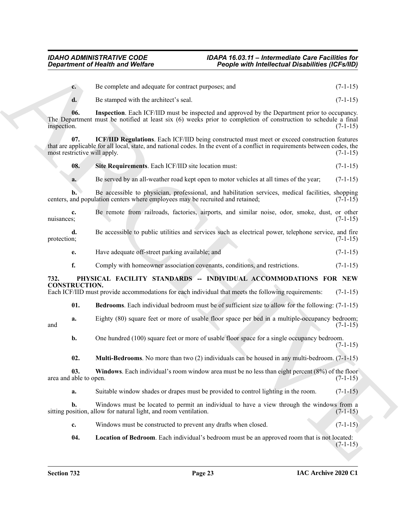<span id="page-22-8"></span><span id="page-22-7"></span><span id="page-22-6"></span><span id="page-22-5"></span><span id="page-22-4"></span><span id="page-22-3"></span><span id="page-22-2"></span><span id="page-22-1"></span><span id="page-22-0"></span>

| <b>Department of Health and Welfare</b> |                                                                                                                                                                                                                              | <b>People with Intellectual Disabilities (ICFs/IID)</b> |            |  |
|-----------------------------------------|------------------------------------------------------------------------------------------------------------------------------------------------------------------------------------------------------------------------------|---------------------------------------------------------|------------|--|
| $c_{\cdot}$                             | Be complete and adequate for contract purposes; and                                                                                                                                                                          |                                                         | $(7-1-15)$ |  |
| d.                                      | Be stamped with the architect's seal.                                                                                                                                                                                        |                                                         | $(7-1-15)$ |  |
| 06.<br>inspection.                      | <b>Inspection</b> . Each ICF/IID must be inspected and approved by the Department prior to occupancy.<br>The Department must be notified at least six (6) weeks prior to completion of construction to schedule a final      |                                                         | $(7-1-15)$ |  |
| 07.<br>most restrictive will apply.     | ICF/IID Regulations. Each ICF/IID being constructed must meet or exceed construction features<br>that are applicable for all local, state, and national codes. In the event of a conflict in requirements between codes, the |                                                         | $(7-1-15)$ |  |
| 08.                                     | Site Requirements. Each ICF/IID site location must:                                                                                                                                                                          |                                                         | $(7-1-15)$ |  |
| a.                                      | Be served by an all-weather road kept open to motor vehicles at all times of the year;                                                                                                                                       |                                                         | $(7-1-15)$ |  |
| h.                                      | Be accessible to physician, professional, and habilitation services, medical facilities, shopping<br>centers, and population centers where employees may be recruited and retained;                                          |                                                         | $(7-1-15)$ |  |
| c.<br>nuisances;                        | Be remote from railroads, factories, airports, and similar noise, odor, smoke, dust, or other                                                                                                                                |                                                         | $(7-1-15)$ |  |
| d.<br>protection;                       | Be accessible to public utilities and services such as electrical power, telephone service, and fire                                                                                                                         |                                                         | $(7-1-15)$ |  |
| e.                                      | Have adequate off-street parking available; and                                                                                                                                                                              |                                                         | $(7-1-15)$ |  |
| f.                                      | Comply with homeowner association covenants, conditions, and restrictions.                                                                                                                                                   |                                                         | $(7-1-15)$ |  |
| 732.<br><b>CONSTRUCTION.</b>            | PHYSICAL FACILITY STANDARDS -- INDIVIDUAL ACCOMMODATIONS FOR NEW<br>Each ICF/IID must provide accommodations for each individual that meets the following requirements:                                                      |                                                         | $(7-1-15)$ |  |
| 01.                                     | <b>Bedrooms.</b> Each individual bedroom must be of sufficient size to allow for the following: (7-1-15)                                                                                                                     |                                                         |            |  |
| a.<br>and                               | Eighty (80) square feet or more of usable floor space per bed in a multiple-occupancy bedroom;                                                                                                                               |                                                         | $(7-1-15)$ |  |
| b.                                      | One hundred (100) square feet or more of usable floor space for a single occupancy bedroom.                                                                                                                                  |                                                         | $(7-1-15)$ |  |
| 02.                                     | <b>Multi-Bedrooms</b> . No more than two $(2)$ individuals can be housed in any multi-bedroom. $(7-1-15)$                                                                                                                    |                                                         |            |  |
| 03.<br>area and able to open.           | <b>Windows</b> . Each individual's room window area must be no less than eight percent $(8%)$ of the floor                                                                                                                   |                                                         | $(7-1-15)$ |  |
| a.                                      | Suitable window shades or drapes must be provided to control lighting in the room.                                                                                                                                           |                                                         | $(7-1-15)$ |  |
| b.                                      | Windows must be located to permit an individual to have a view through the windows from a<br>sitting position, allow for natural light, and room ventilation.                                                                |                                                         | $(7-1-15)$ |  |
| c.                                      | Windows must be constructed to prevent any drafts when closed.                                                                                                                                                               |                                                         | $(7-1-15)$ |  |
| 04.                                     | Location of Bedroom. Each individual's bedroom must be an approved room that is not located:                                                                                                                                 |                                                         | $(7-1-15)$ |  |
|                                         |                                                                                                                                                                                                                              |                                                         |            |  |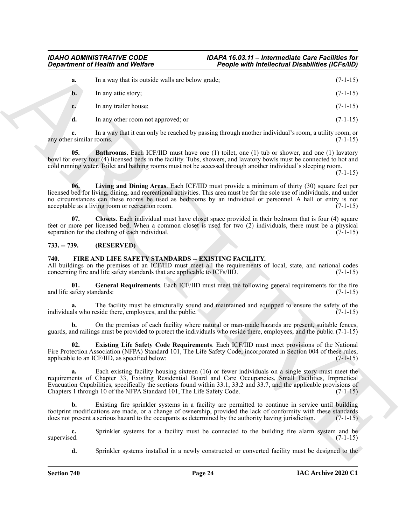|                                   | <b>Department of Health and Welfare</b>                                                                                                                                                                                                                                                                                                                                                                          | People with Intellectual Disabilities (ICFs/IID) |            |
|-----------------------------------|------------------------------------------------------------------------------------------------------------------------------------------------------------------------------------------------------------------------------------------------------------------------------------------------------------------------------------------------------------------------------------------------------------------|--------------------------------------------------|------------|
| a.                                | In a way that its outside walls are below grade;                                                                                                                                                                                                                                                                                                                                                                 |                                                  | $(7-1-15)$ |
| $\mathbf{b}$ .                    | In any attic story;                                                                                                                                                                                                                                                                                                                                                                                              |                                                  | $(7-1-15)$ |
| c.                                | In any trailer house;                                                                                                                                                                                                                                                                                                                                                                                            |                                                  | $(7-1-15)$ |
| d.                                | In any other room not approved; or                                                                                                                                                                                                                                                                                                                                                                               |                                                  | $(7-1-15)$ |
| e.<br>any other similar rooms.    | In a way that it can only be reached by passing through another individual's room, a utility room, or                                                                                                                                                                                                                                                                                                            |                                                  | $(7-1-15)$ |
| 05.                               | <b>Bathrooms</b> . Each ICF/IID must have one $(1)$ toilet, one $(1)$ tub or shower, and one $(1)$ lavatory<br>bowl for every four (4) licensed beds in the facility. Tubs, showers, and lavatory bowls must be connected to hot and<br>cold running water. Toilet and bathing rooms must not be accessed through another individual's sleeping room.                                                            |                                                  | $(7-1-15)$ |
| 06.                               | Living and Dining Areas. Each ICF/IID must provide a minimum of thirty (30) square feet per<br>licensed bed for living, dining, and recreational activities. This area must be for the sole use of individuals, and under<br>no circumstances can these rooms be used as bedrooms by an individual or personnel. A hall or entry is not<br>acceptable as a living room or recreation room.                       |                                                  | $(7-1-15)$ |
| 07.                               | Closets. Each individual must have closet space provided in their bedroom that is four (4) square<br>feet or more per licensed bed. When a common closet is used for two (2) individuals, there must be a physical<br>separation for the clothing of each individual.                                                                                                                                            |                                                  | $(7-1-15)$ |
| $733. - 739.$                     | (RESERVED)                                                                                                                                                                                                                                                                                                                                                                                                       |                                                  |            |
| 740.                              | FIRE AND LIFE SAFETY STANDARDS -- EXISTING FACILITY.<br>All buildings on the premises of an ICF/IID must meet all the requirements of local, state, and national codes<br>concerning fire and life safety standards that are applicable to ICFs/IID.                                                                                                                                                             |                                                  | $(7-1-15)$ |
| 01.<br>and life safety standards: | General Requirements. Each ICF/IID must meet the following general requirements for the fire                                                                                                                                                                                                                                                                                                                     |                                                  | $(7-1-15)$ |
| a.                                | The facility must be structurally sound and maintained and equipped to ensure the safety of the<br>individuals who reside there, employees, and the public.                                                                                                                                                                                                                                                      |                                                  | $(7-1-15)$ |
| b.                                | On the premises of each facility where natural or man-made hazards are present, suitable fences,<br>guards, and railings must be provided to protect the individuals who reside there, employees, and the public. (7-1-15)                                                                                                                                                                                       |                                                  |            |
| 02.                               | Existing Life Safety Code Requirements. Each ICF/IID must meet provisions of the National<br>Fire Protection Association (NFPA) Standard 101, The Life Safety Code, incorporated in Section 004 of these rules,<br>applicable to an ICF/IID, as specified below:                                                                                                                                                 |                                                  | $(7-1-15)$ |
| a.                                | Each existing facility housing sixteen (16) or fewer individuals on a single story must meet the<br>requirements of Chapter 33, Existing Residential Board and Care Occupancies, Small Facilities, Impractical<br>Evacuation Capabilities, specifically the sections found within 33.1, 33.2 and 33.7, and the applicable provisions of<br>Chapters 1 through 10 of the NFPA Standard 101, The Life Safety Code. |                                                  | $(7-1-15)$ |
| b.                                | Existing fire sprinkler systems in a facility are permitted to continue in service until building<br>footprint modifications are made, or a change of ownership, provided the lack of conformity with these standards<br>does not present a serious hazard to the occupants as determined by the authority having jurisdiction.                                                                                  |                                                  | $(7-1-15)$ |
| c.<br>supervised.                 | Sprinkler systems for a facility must be connected to the building fire alarm system and be                                                                                                                                                                                                                                                                                                                      |                                                  | $(7-1-15)$ |
| d.                                | Sprinkler systems installed in a newly constructed or converted facility must be designed to the                                                                                                                                                                                                                                                                                                                 |                                                  |            |

### <span id="page-23-7"></span><span id="page-23-6"></span><span id="page-23-5"></span><span id="page-23-0"></span>**733. -- 739. (RESERVED)**

### <span id="page-23-4"></span><span id="page-23-3"></span><span id="page-23-2"></span><span id="page-23-1"></span>**740. FIRE AND LIFE SAFETY STANDARDS -- EXISTING FACILITY.**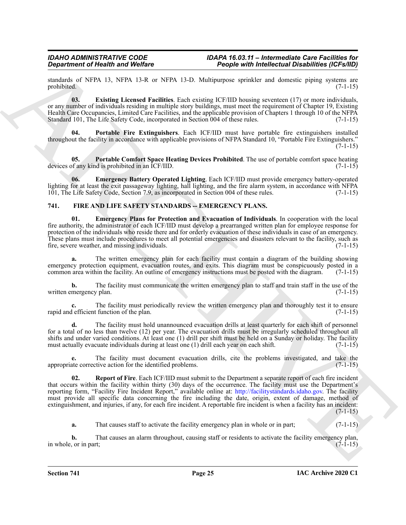standards of NFPA 13, NFPA 13-R or NFPA 13-D. Multipurpose sprinkler and domestic piping systems are prohibited. (7-1-15) prohibited. (7-1-15)

<span id="page-24-5"></span>**03. Existing Licensed Facilities**. Each existing ICF/IID housing seventeen (17) or more individuals, or any number of individuals residing in multiple story buildings, must meet the requirement of Chapter 19, Existing Health Care Occupancies, Limited Care Facilities, and the applicable provision of Chapters 1 through 10 of the NFPA Standard 101, The Life Safety Code, incorporated in Section 004 of these rules. (7-1-15)

<span id="page-24-7"></span>**04. Portable Fire Extinguishers**. Each ICF/IID must have portable fire extinguishers installed throughout the facility in accordance with applicable provisions of NFPA Standard 10, "Portable Fire Extinguishers." (7-1-15)

<span id="page-24-6"></span>**05. Portable Comfort Space Heating Devices Prohibited**. The use of portable comfort space heating devices of any kind is prohibited in an ICF/IID. (7-1-15)

<span id="page-24-4"></span>**06. Emergency Battery Operated Lighting**. Each ICF/IID must provide emergency battery-operated lighting for at least the exit passageway lighting, hall lighting, and the fire alarm system, in accordance with NFPA 101, The Life Safety Code, Section 7.9, as incorporated in Section 004 of these rules. (7-1-15)

### <span id="page-24-1"></span><span id="page-24-0"></span>**741. FIRE AND LIFE SAFETY STANDARDS -- EMERGENCY PLANS.**

<span id="page-24-2"></span>**01. Emergency Plans for Protection and Evacuation of Individuals**. In cooperation with the local fire authority, the administrator of each ICF/IID must develop a prearranged written plan for employee response for protection of the individuals who reside there and for orderly evacuation of these individuals in case of an emergency. These plans must include procedures to meet all potential emergencies and disasters relevant to the facility, such as fire, severe weather, and missing individuals. fire, severe weather, and missing individuals.

**a.** The written emergency plan for each facility must contain a diagram of the building showing emergency protection equipment, evacuation routes, and exits. This diagram must be conspicuously posted in a common area within the facility. An outline of emergency instructions must be posted with the diagram. (7-1-15)

**b.** The facility must communicate the written emergency plan to staff and train staff in the use of the written emergency plan. (7-1-15)

**c.** The facility must periodically review the written emergency plan and thoroughly test it to ensure rapid and efficient function of the plan. (7-1-15)

**d.** The facility must hold unannounced evacuation drills at least quarterly for each shift of personnel for a total of no less than twelve (12) per year. The evacuation drills must be irregularly scheduled throughout all shifts and under varied conditions. At least one (1) drill per shift must be held on a Sunday or holiday. The facility must actually evacuate individuals during at least one  $(1)$  drill each year on each shift.  $(7-1-15)$ 

<span id="page-24-3"></span>The facility must document evacuation drills, cite the problems investigated, and take the citive action for the identified problems. (7-1-15) appropriate corrective action for the identified problems.

**Experiment of Nextrin in of Weiker 12.** Propose with *individual consistent* of the state of the state of the state of the state of the state of the state of the state of the state of the state of the state of the state **02. Report of Fire**. Each ICF/IID must submit to the Department a separate report of each fire incident that occurs within the facility within thirty (30) days of the occurrence. The facility must use the Department's reporting form, "Facility Fire Incident Report," available online at: http://facilitystandards.idaho.gov. The facility must provide all specific data concerning the fire including the date, origin, extent of damage, method of extinguishment, and injuries, if any, for each fire incident. A reportable fire incident is when a facility has an incident:  $(7-1-15)$ 

**a.** That causes staff to activate the facility emergency plan in whole or in part;  $(7-1-15)$ 

**b.** That causes an alarm throughout, causing staff or residents to activate the facility emergency plan, or in part; (7-1-15) in whole, or in part;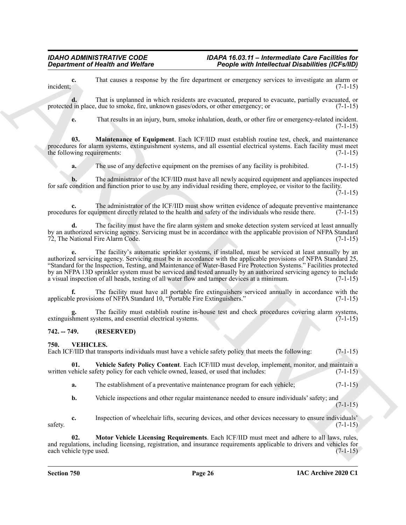**c.** That causes a response by the fire department or emergency services to investigate an alarm or  $(7-1-15)$  $i$  incident;  $(7-1-15)$ 

**d.** That is unplanned in which residents are evacuated, prepared to evacuate, partially evacuated, or protected in place, due to smoke, fire, unknown gases/odors, or other emergency; or (7-1-15)

<span id="page-25-2"></span>**e.** That results in an injury, burn, smoke inhalation, death, or other fire or emergency-related incident. (7-1-15)

**03. Maintenance of Equipment**. Each ICF/IID must establish routine test, check, and maintenance procedures for alarm systems, extinguishment systems, and all essential electrical systems. Each facility must meet the following requirements: (7-1-15) (3-1-15)

**a.** The use of any defective equipment on the premises of any facility is prohibited. (7-1-15)

**b.** The administrator of the ICF/IID must have all newly acquired equipment and appliances inspected for safe condition and function prior to use by any individual residing there, employee, or visitor to the facility.  $(7-1-15)$ 

**c.** The administrator of the ICF/IID must show written evidence of adequate preventive maintenance procedures for equipment directly related to the health and safety of the individuals who reside there. (7-1-15)

**d.** The facility must have the fire alarm system and smoke detection system serviced at least annually by an authorized servicing agency. Servicing must be in accordance with the applicable provision of NFPA Standard 72, The National Fire Alarm Code. (7-1-15)

**Equivalent of Nearly were by the circumstant of Presidential Chinese China (Exception 2018)**<br>
Institute the content of the content of the content of the content of the content of the content of the content of the content **e.** The facility's automatic sprinkler systems, if installed, must be serviced at least annually by an authorized servicing agency. Servicing must be in accordance with the applicable provisions of NFPA Standard 25, "Standard for the Inspection, Testing, and Maintenance of Water-Based Fire Protection Systems." Facilities protected by an NFPA 13D sprinkler system must be serviced and tested annually by an authorized servicing agency to include a visual inspection of all heads, testing of all water flow and tamper devices at a minimum. (7-1-15)

**f.** The facility must have all portable fire extinguishers serviced annually in accordance with the applicable provisions of NFPA Standard 10, "Portable Fire Extinguishers." (7-1-15)

The facility must establish routine in-house test and check procedures covering alarm systems, stems, and essential electrical systems. extinguishment systems, and essential electrical systems.

# <span id="page-25-0"></span>**742. -- 749. (RESERVED)**

### <span id="page-25-3"></span><span id="page-25-1"></span>**750. VEHICLES.**

Each ICF/IID that transports individuals must have a vehicle safety policy that meets the following: (7-1-15)

**01. Vehicle Safety Policy Content**. Each ICF/IID must develop, implement, monitor, and maintain a written vehicle safety policy for each vehicle owned, leased, or used that includes: (7-1-15)

<span id="page-25-5"></span>**a.** The establishment of a preventative maintenance program for each vehicle;  $(7-1-15)$ 

<span id="page-25-4"></span>**b.** Vehicle inspections and other regular maintenance needed to ensure individuals' safety; and  $(7-1-15)$ 

**c.** Inspection of wheelchair lifts, securing devices, and other devices necessary to ensure individuals'  $s$ safety.  $(7-1-15)$ 

**02. Motor Vehicle Licensing Requirements**. Each ICF/IID must meet and adhere to all laws, rules, and regulations, including licensing, registration, and insurance requirements applicable to drivers and vehicles for each vehicle type used. (7-1-15)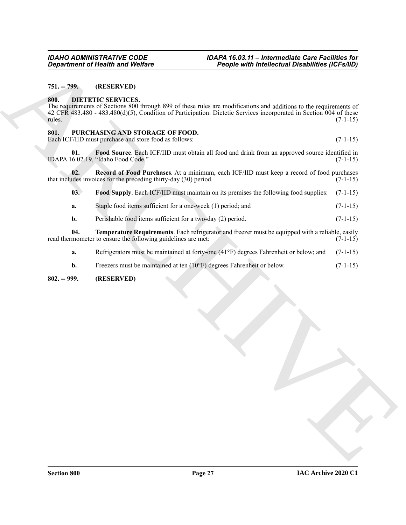### <span id="page-26-0"></span>**751. -- 799. (RESERVED)**

#### <span id="page-26-4"></span><span id="page-26-1"></span>**800. DIETETIC SERVICES.**

#### <span id="page-26-8"></span><span id="page-26-7"></span><span id="page-26-6"></span><span id="page-26-5"></span><span id="page-26-2"></span>**801. PURCHASING AND STORAGE OF FOOD.**

|                | <b>Department of Health and Welfare</b>                                                                                                                                                                                                                               | <b>People with Intellectual Disabilities (ICFs/IID)</b> |            |  |
|----------------|-----------------------------------------------------------------------------------------------------------------------------------------------------------------------------------------------------------------------------------------------------------------------|---------------------------------------------------------|------------|--|
| $751. - 799.$  | (RESERVED)                                                                                                                                                                                                                                                            |                                                         |            |  |
| 800.<br>rules. | <b>DIETETIC SERVICES.</b><br>The requirements of Sections 800 through 899 of these rules are modifications and additions to the requirements of<br>42 CFR 483.480 - 483.480(d)(5), Condition of Participation: Dietetic Services incorporated in Section 004 of these |                                                         | $(7-1-15)$ |  |
| 801.           | PURCHASING AND STORAGE OF FOOD.<br>Each ICF/IID must purchase and store food as follows:                                                                                                                                                                              |                                                         | $(7-1-15)$ |  |
| 01.            | Food Source. Each ICF/IID must obtain all food and drink from an approved source identified in<br>IDAPA 16.02.19, "Idaho Food Code."                                                                                                                                  |                                                         | $(7-1-15)$ |  |
| 02.            | Record of Food Purchases. At a minimum, each ICF/IID must keep a record of food purchases<br>that includes invoices for the preceding thirty-day (30) period.                                                                                                         |                                                         | $(7-1-15)$ |  |
| 03.            | Food Supply. Each ICF/IID must maintain on its premises the following food supplies:                                                                                                                                                                                  |                                                         | $(7-1-15)$ |  |
| a.             | Staple food items sufficient for a one-week (1) period; and                                                                                                                                                                                                           |                                                         | $(7-1-15)$ |  |
| b.             | Perishable food items sufficient for a two-day (2) period.                                                                                                                                                                                                            |                                                         | $(7-1-15)$ |  |
| 04.            | Temperature Requirements. Each refrigerator and freezer must be equipped with a reliable, easily<br>read thermometer to ensure the following guidelines are met:                                                                                                      |                                                         | $(7-1-15)$ |  |
| a.             | Refrigerators must be maintained at forty-one (41°F) degrees Fahrenheit or below; and                                                                                                                                                                                 |                                                         | $(7-1-15)$ |  |
| b.             | Freezers must be maintained at ten (10°F) degrees Fahrenheit or below.                                                                                                                                                                                                |                                                         | $(7-1-15)$ |  |
|                |                                                                                                                                                                                                                                                                       |                                                         |            |  |
|                |                                                                                                                                                                                                                                                                       |                                                         |            |  |

#### <span id="page-26-9"></span><span id="page-26-3"></span>**802. -- 999. (RESERVED)**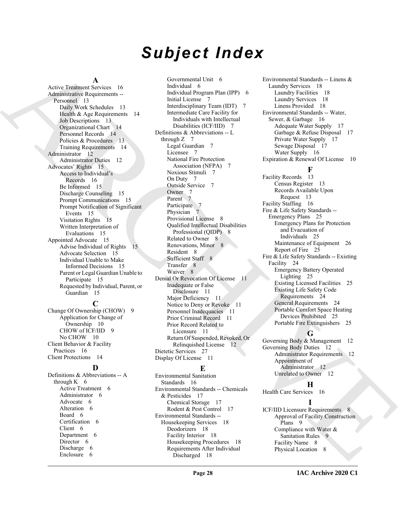# *Subject Index*

#### **A**

Active Treatment Services 16 Administrative Requirements -- Personnel 13 Daily Work Schedules 13 Health & Age Requirements 14 Job Descriptions 13 Organizational Chart 14 Personnel Records 14 Policies & Procedures 13 Training Requirements 14 Administrator 12 Administrator Duties 12 Advocates' Rights 15 Access to Individual's Records 16 Be Informed 15 Discharge Counseling 15 Prompt Communications 15 Prompt Notification of Significant Events 15 Visitation Rights 15 Written Interpretation of Evaluations 15 Appointed Advocate 15 Advise Individual of Rights 15 Advocate Selection 15 Individual Unable to Make Informed Decisions 15 Parent or Legal Guardian Unable to Participate 15 Requested by Individual, Parent, or Guardian 15

#### **C**

Change Of Ownership (CHOW) 9 Application for Change of Ownership 10 CHOW of ICF/IID 9 No CHOW 10 Client Behavior & Facility Practices 16 Client Protections 14

### **D**

Definitions & Abbreviations -- A through  $K = 6$ Active Treatment 6 Administrator 6 Advocate 6 Alteration 6 Board 6 Certification 6 Client 6 Department 6 Director 6 Discharge 6 Enclosure 6

[A](#page-12-4)ctive Theorem (A) (see month is the contrast of the contrast of the contrast of the contrast of the contrast of the contrast of the contrast of the contrast of the contrast of the contrast of the contrast of the contrast Governmental Unit 6 Individual 6 Individual Program Plan (IPP) 6 Initial License 7 Interdisciplinary Team (IDT) 7 Intermediate Care Facility for Individuals with Intellectual Disabilities (ICF/IID) 7 Definitions & Abbreviations -- L through  $Z$  7 Legal Guardian 7 Licensee 7 National Fire Protection Association (NFPA) 7 Noxious Stimuli 7 On Duty 7 Outside Service 7 Owner 7 Parent 7 Participate 7 Physician 7 Provisional License 8 Qualified Intellectual Disabilities Professional (QIDP) 8 Related to Owner 8 Renovations, Minor 8 Resident 8 Sufficient Staff 8 Transfer 8 Waiver 8 Denial Or Revocation Of License 11 Inadequate or False Disclosure 11 Major Deficiency 11 Notice to Deny or Revoke 11 Personnel Inadequacies 11 Prior Criminal Record 11 Prior Record Related to Licensure 11 Return Of Suspended, Revoked, Or Relinquished License 12 Dietetic Services 27 Display Of License 11

### **E**

Environmental Sanitation Standards 16 Environmental Standards -- Chemicals & Pesticides 17 Chemical Storage 17 Rodent & Pest Control 17 Environmental Standards -- Housekeeping Services 18 Deodorizers 18 Facility Interior 18 Housekeeping Procedures 18 Requirements After Individual Discharged 18

Environmental Standards -- Linens & Laundry Services 18 Laundry Facilities 18 Laundry Services 18 Linens Provided 18 Environmental Standards -- Water, Sewer, & Garbage 16 Adequate Water Supply 17 Garbage & Refuse Disposal 17 Private Water Supply 17 Sewage Disposal 17 Water Supply 16 Expiration & Renewal Of License 10

### **F**

Facility Records 13 Census Register 13 Records Available Upon Request 13 Facility Staffing 16 Fire & Life Safety Standards -- Emergency Plans 25 Emergency Plans for Protection and Evacuation of Individuals 25 Maintenance of Equipment 26 Report of Fire 25 Fire & Life Safety Standards -- Existing Facility 24 Emergency Battery Operated Lighting 25 Existing Licensed Facilities 25 Existing Life Safety Code Requirements 24 General Requirements 24 Portable Comfort Space Heating Devices Prohibited 25 Portable Fire Extinguishers 25

# **G**

Governing Body & Management 12 Governing Body Duties 12 Administrator Requirements 12 Appointment of Administrator 12 Unrelated to Owner 12

# **H**

Health Care Services 16

**I** ICF/IID Licensure Requirements 8 Approval of Facility Construction Plans 9 Compliance with Water & Sanitation Rules 9 Facility Name 8 Physical Location 8